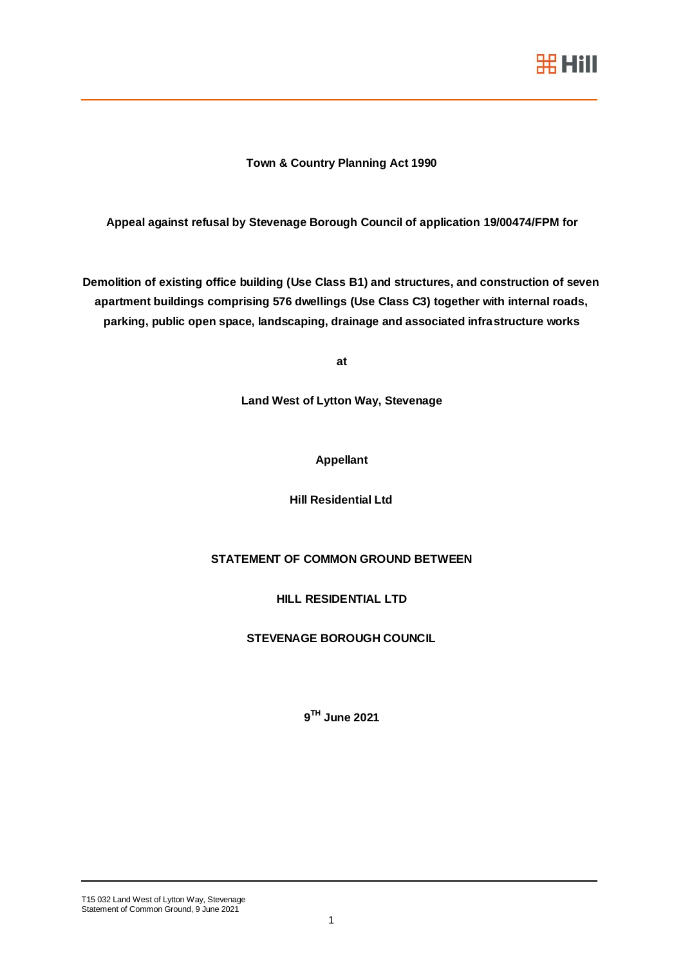

## **Town & Country Planning Act 1990**

**Appeal against refusal by Stevenage Borough Council of application 19/00474/FPM for** 

**Demolition of existing office building (Use Class B1) and structures, and construction of seven apartment buildings comprising 576 dwellings (Use Class C3) together with internal roads, parking, public open space, landscaping, drainage and associated infrastructure works**

**at**

**Land West of Lytton Way, Stevenage**

## **Appellant**

**Hill Residential Ltd**

# **STATEMENT OF COMMON GROUND BETWEEN**

**HILL RESIDENTIAL LTD**

**STEVENAGE BOROUGH COUNCIL**

**9 TH June 2021**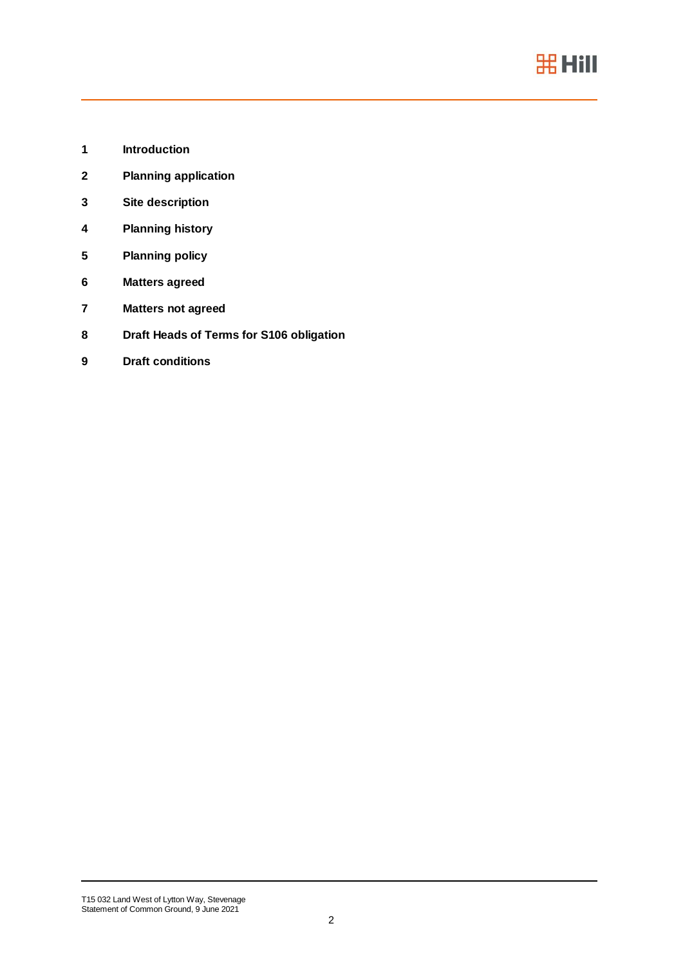

- **Introduction**
- **Planning application**
- **Site description**
- **Planning history**
- **Planning policy**
- **Matters agreed**
- **Matters not agreed**
- **Draft Heads of Terms for S106 obligation**
- **Draft conditions**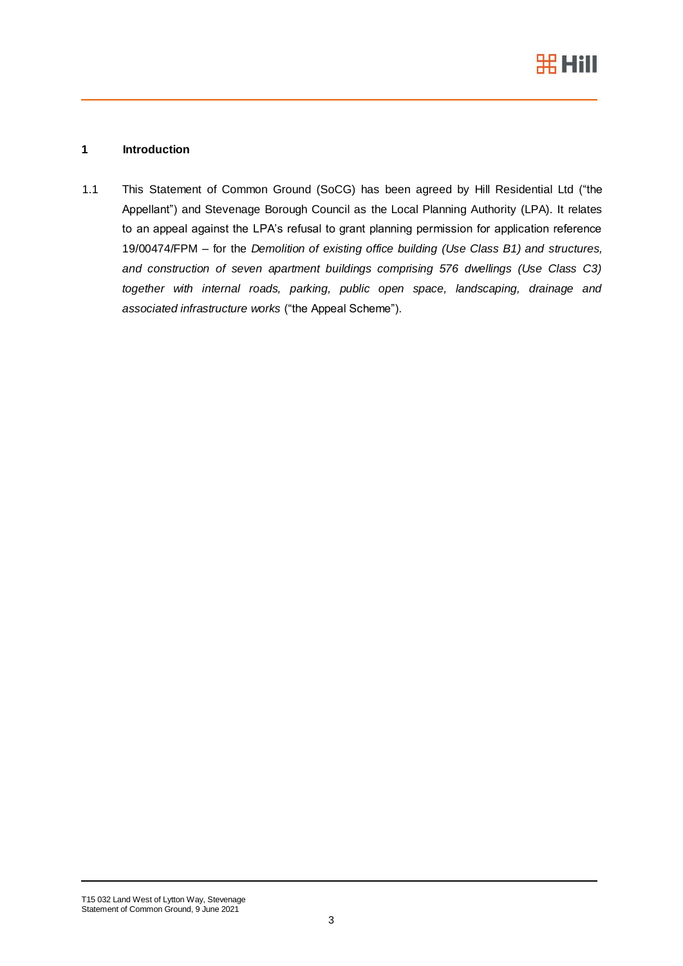

# **1 Introduction**

1.1 This Statement of Common Ground (SoCG) has been agreed by Hill Residential Ltd ("the Appellant") and Stevenage Borough Council as the Local Planning Authority (LPA). It relates to an appeal against the LPA's refusal to grant planning permission for application reference 19/00474/FPM – for the *Demolition of existing office building (Use Class B1) and structures, and construction of seven apartment buildings comprising 576 dwellings (Use Class C3) together with internal roads, parking, public open space, landscaping, drainage and associated infrastructure works* ("the Appeal Scheme").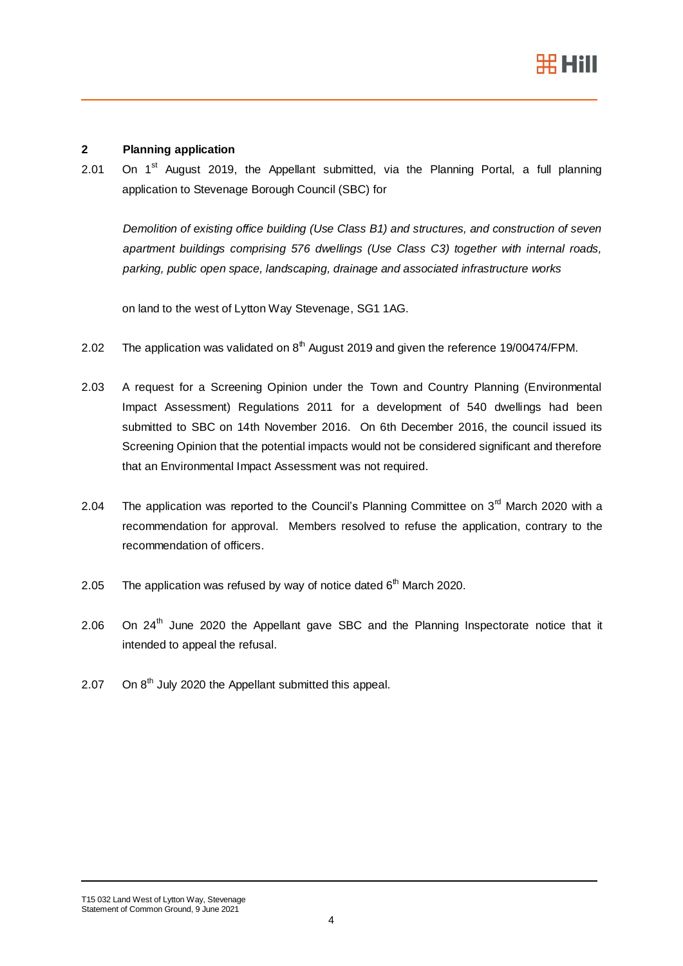

## **2 Planning application**

2.01 On  $1<sup>st</sup>$  August 2019, the Appellant submitted, via the Planning Portal, a full planning application to Stevenage Borough Council (SBC) for

*Demolition of existing office building (Use Class B1) and structures, and construction of seven apartment buildings comprising 576 dwellings (Use Class C3) together with internal roads, parking, public open space, landscaping, drainage and associated infrastructure works*

on land to the west of Lytton Way Stevenage, SG1 1AG.

- 2.02 The application was validated on  $8<sup>th</sup>$  August 2019 and given the reference 19/00474/FPM.
- 2.03 A request for a Screening Opinion under the Town and Country Planning (Environmental Impact Assessment) Regulations 2011 for a development of 540 dwellings had been submitted to SBC on 14th November 2016. On 6th December 2016, the council issued its Screening Opinion that the potential impacts would not be considered significant and therefore that an Environmental Impact Assessment was not required.
- 2.04 The application was reported to the Council's Planning Committee on  $3<sup>rd</sup>$  March 2020 with a recommendation for approval. Members resolved to refuse the application, contrary to the recommendation of officers.
- 2.05 The application was refused by way of notice dated  $6<sup>th</sup>$  March 2020.
- 2.06 On  $24<sup>th</sup>$  June 2020 the Appellant gave SBC and the Planning Inspectorate notice that it intended to appeal the refusal.
- 2.07 On  $8<sup>th</sup>$  July 2020 the Appellant submitted this appeal.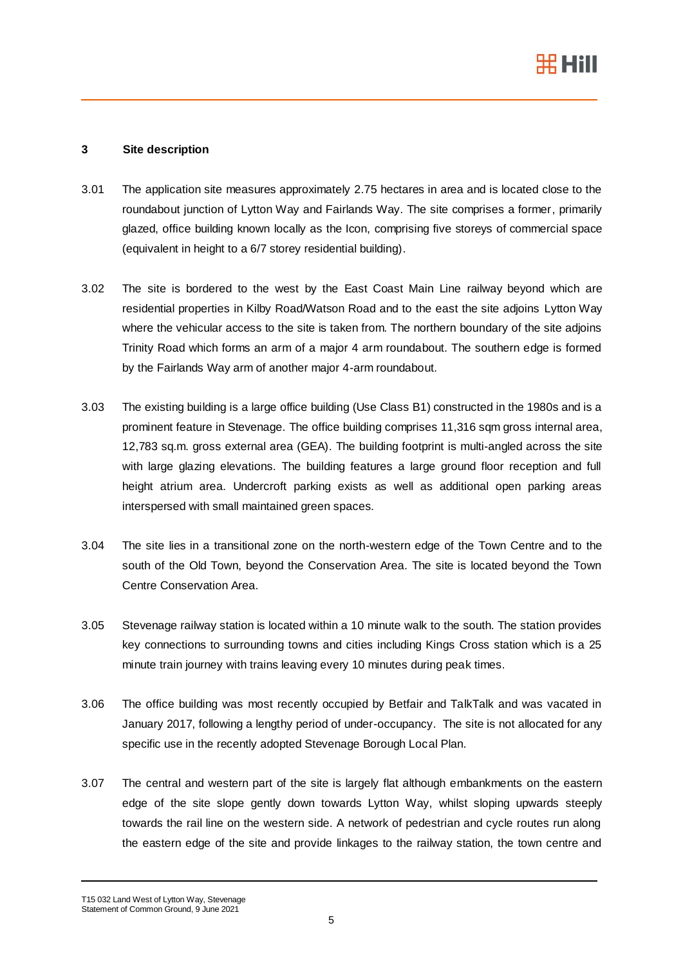

## **3 Site description**

- 3.01 The application site measures approximately 2.75 hectares in area and is located close to the roundabout junction of Lytton Way and Fairlands Way. The site comprises a former, primarily glazed, office building known locally as the Icon, comprising five storeys of commercial space (equivalent in height to a 6/7 storey residential building).
- 3.02 The site is bordered to the west by the East Coast Main Line railway beyond which are residential properties in Kilby Road/Watson Road and to the east the site adjoins Lytton Way where the vehicular access to the site is taken from. The northern boundary of the site adjoins Trinity Road which forms an arm of a major 4 arm roundabout. The southern edge is formed by the Fairlands Way arm of another major 4-arm roundabout.
- 3.03 The existing building is a large office building (Use Class B1) constructed in the 1980s and is a prominent feature in Stevenage. The office building comprises 11,316 sqm gross internal area, 12,783 sq.m. gross external area (GEA). The building footprint is multi-angled across the site with large glazing elevations. The building features a large ground floor reception and full height atrium area. Undercroft parking exists as well as additional open parking areas interspersed with small maintained green spaces.
- 3.04 The site lies in a transitional zone on the north-western edge of the Town Centre and to the south of the Old Town, beyond the Conservation Area. The site is located beyond the Town Centre Conservation Area.
- 3.05 Stevenage railway station is located within a 10 minute walk to the south. The station provides key connections to surrounding towns and cities including Kings Cross station which is a 25 minute train journey with trains leaving every 10 minutes during peak times.
- 3.06 The office building was most recently occupied by Betfair and TalkTalk and was vacated in January 2017, following a lengthy period of under-occupancy. The site is not allocated for any specific use in the recently adopted Stevenage Borough Local Plan.
- 3.07 The central and western part of the site is largely flat although embankments on the eastern edge of the site slope gently down towards Lytton Way, whilst sloping upwards steeply towards the rail line on the western side. A network of pedestrian and cycle routes run along the eastern edge of the site and provide linkages to the railway station, the town centre and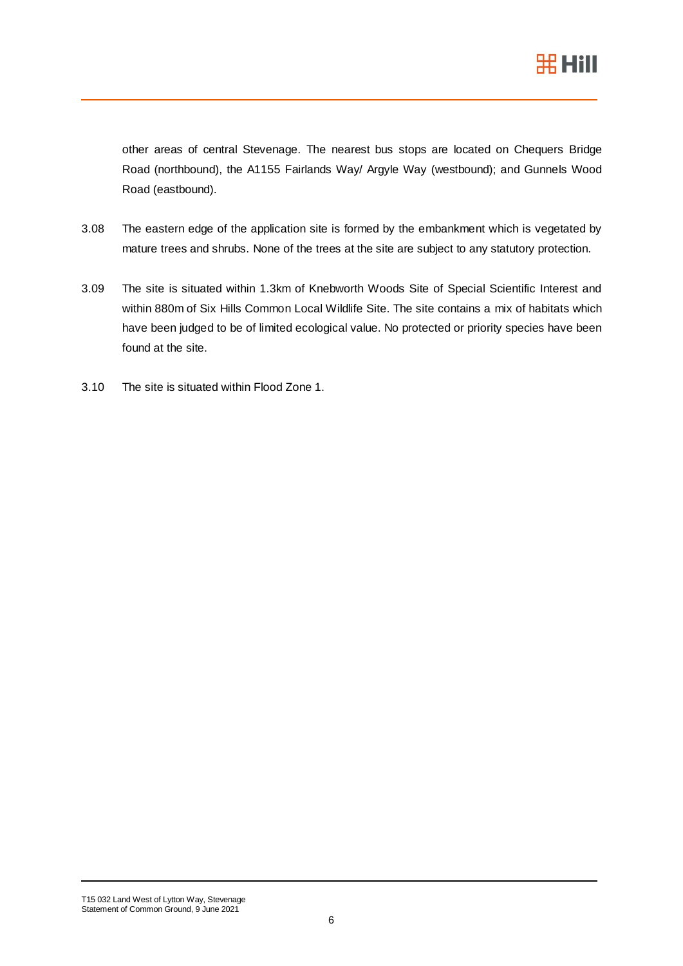

other areas of central Stevenage. The nearest bus stops are located on Chequers Bridge Road (northbound), the A1155 Fairlands Way/ Argyle Way (westbound); and Gunnels Wood Road (eastbound).

- 3.08 The eastern edge of the application site is formed by the embankment which is vegetated by mature trees and shrubs. None of the trees at the site are subject to any statutory protection.
- 3.09 The site is situated within 1.3km of Knebworth Woods Site of Special Scientific Interest and within 880m of Six Hills Common Local Wildlife Site. The site contains a mix of habitats which have been judged to be of limited ecological value. No protected or priority species have been found at the site.
- 3.10 The site is situated within Flood Zone 1.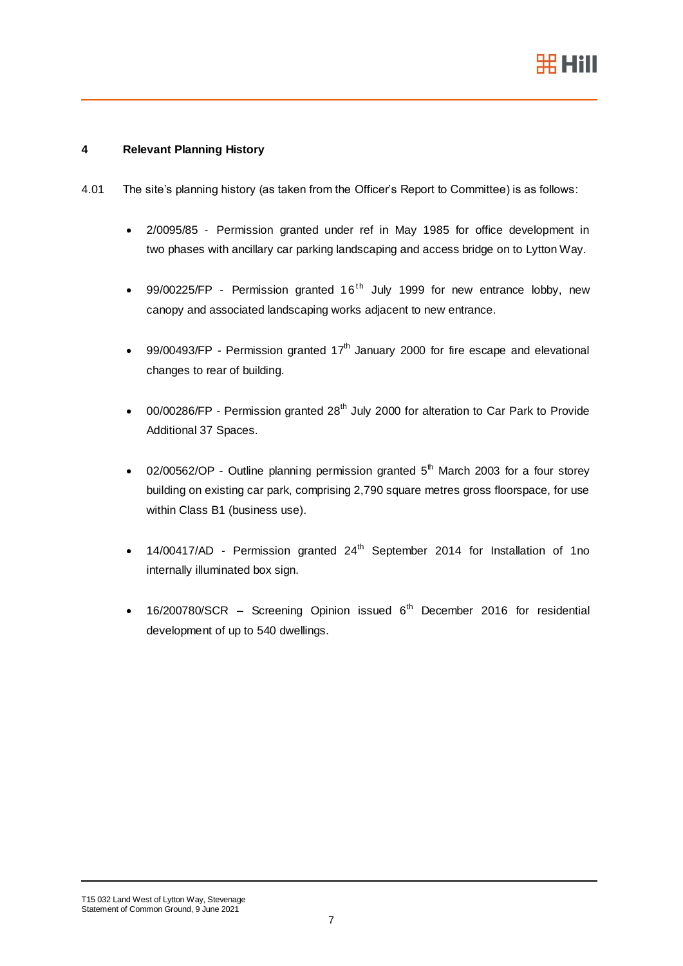

## **4 Relevant Planning History**

- 4.01 The site's planning history (as taken from the Officer's Report to Committee) is as follows:
	- 2/0095/85 Permission granted under ref in May 1985 for office development in two phases with ancillary car parking landscaping and access bridge on to Lytton Way.
	- 99/00225/FP Permission granted  $16<sup>th</sup>$  July 1999 for new entrance lobby, new canopy and associated landscaping works adjacent to new entrance.
	- 99/00493/FP Permission granted 17<sup>th</sup> January 2000 for fire escape and elevational changes to rear of building.
	- 00/00286/FP Permission granted  $28<sup>th</sup>$  July 2000 for alteration to Car Park to Provide Additional 37 Spaces.
	- 02/00562/OP Outline planning permission granted  $5<sup>th</sup>$  March 2003 for a four storey building on existing car park, comprising 2,790 square metres gross floorspace, for use within Class B1 (business use).
	- $14/00417/AD$  Permission granted  $24<sup>th</sup>$  September 2014 for Installation of 1no internally illuminated box sign.
	- $16/200780/SCR$  Screening Opinion issued  $6<sup>th</sup>$  December 2016 for residential development of up to 540 dwellings.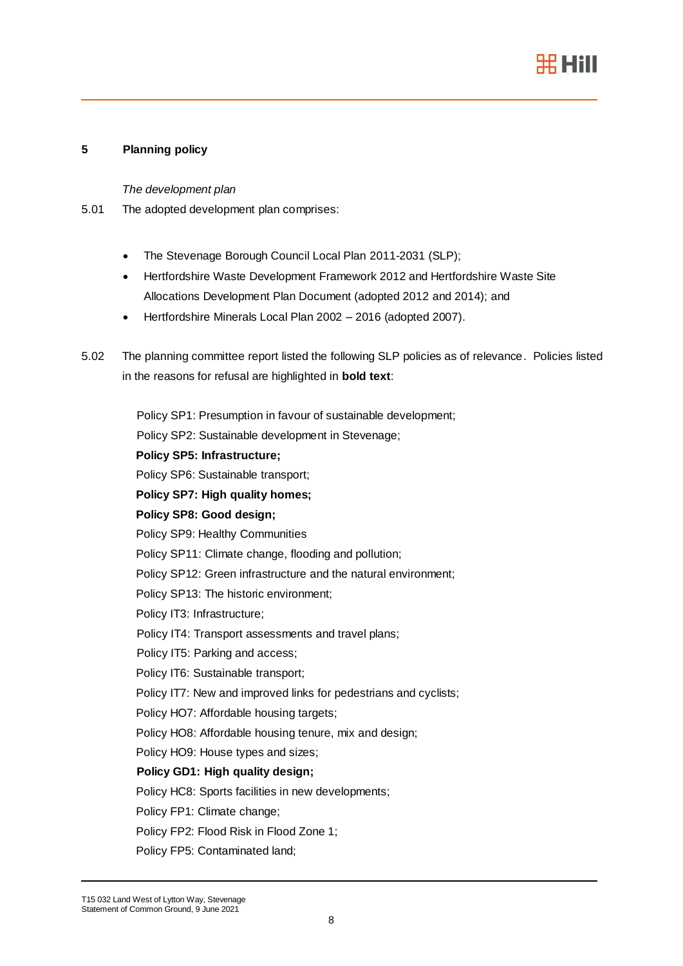

## **5 Planning policy**

*The development plan*

- 5.01 The adopted development plan comprises:
	- The Stevenage Borough Council Local Plan 2011-2031 (SLP);
	- Hertfordshire Waste Development Framework 2012 and Hertfordshire Waste Site Allocations Development Plan Document (adopted 2012 and 2014); and
	- Hertfordshire Minerals Local Plan 2002 2016 (adopted 2007).
- 5.02 The planning committee report listed the following SLP policies as of relevance. Policies listed in the reasons for refusal are highlighted in **bold text**:

Policy SP1: Presumption in favour of sustainable development; Policy SP2: Sustainable development in Stevenage; **Policy SP5: Infrastructure;** Policy SP6: Sustainable transport; **Policy SP7: High quality homes; Policy SP8: Good design;** Policy SP9: Healthy Communities Policy SP11: Climate change, flooding and pollution; Policy SP12: Green infrastructure and the natural environment; Policy SP13: The historic environment; Policy IT3: Infrastructure; Policy IT4: Transport assessments and travel plans; Policy IT5: Parking and access; Policy IT6: Sustainable transport; Policy IT7: New and improved links for pedestrians and cyclists; Policy HO7: Affordable housing targets; Policy HO8: Affordable housing tenure, mix and design; Policy HO9: House types and sizes; **Policy GD1: High quality design;** Policy HC8: Sports facilities in new developments; Policy FP1: Climate change; Policy FP2: Flood Risk in Flood Zone 1; Policy FP5: Contaminated land;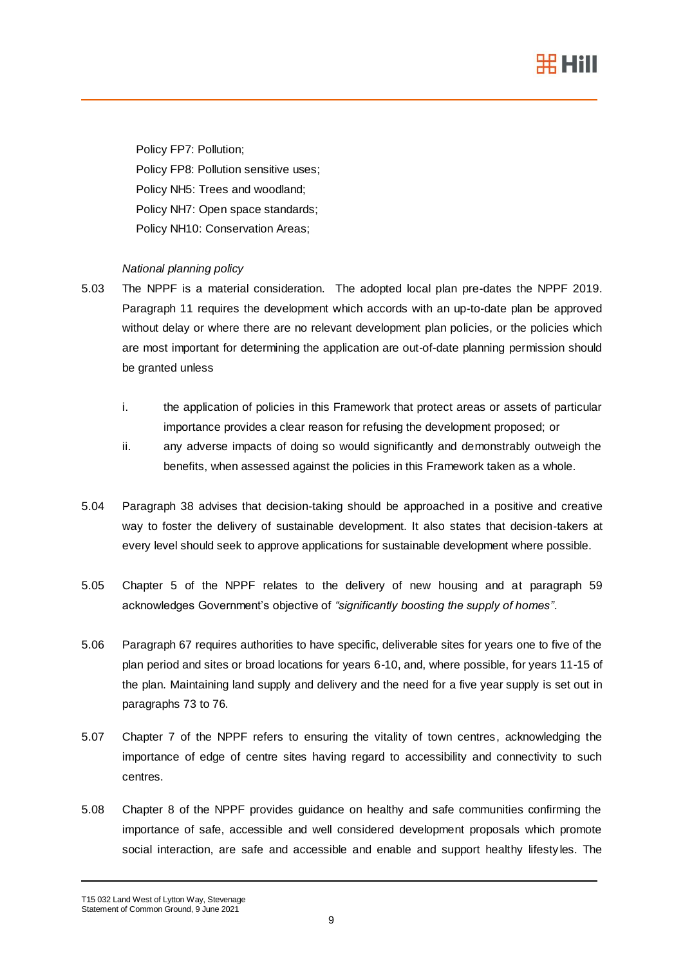

Policy FP7: Pollution; Policy FP8: Pollution sensitive uses; Policy NH5: Trees and woodland; Policy NH7: Open space standards; Policy NH10: Conservation Areas;

## *National planning policy*

- 5.03 The NPPF is a material consideration. The adopted local plan pre-dates the NPPF 2019. Paragraph 11 requires the development which accords with an up-to-date plan be approved without delay or where there are no relevant development plan policies, or the policies which are most important for determining the application are out-of-date planning permission should be granted unless
	- i. the application of policies in this Framework that protect areas or assets of particular importance provides a clear reason for refusing the development proposed; or
	- ii. any adverse impacts of doing so would significantly and demonstrably outweigh the benefits, when assessed against the policies in this Framework taken as a whole.
- 5.04 Paragraph 38 advises that decision-taking should be approached in a positive and creative way to foster the delivery of sustainable development. It also states that decision-takers at every level should seek to approve applications for sustainable development where possible.
- 5.05 Chapter 5 of the NPPF relates to the delivery of new housing and at paragraph 59 acknowledges Government's objective of *"significantly boosting the supply of homes"*.
- 5.06 Paragraph 67 requires authorities to have specific, deliverable sites for years one to five of the plan period and sites or broad locations for years 6-10, and, where possible, for years 11-15 of the plan. Maintaining land supply and delivery and the need for a five year supply is set out in paragraphs 73 to 76.
- 5.07 Chapter 7 of the NPPF refers to ensuring the vitality of town centres, acknowledging the importance of edge of centre sites having regard to accessibility and connectivity to such centres.
- 5.08 Chapter 8 of the NPPF provides guidance on healthy and safe communities confirming the importance of safe, accessible and well considered development proposals which promote social interaction, are safe and accessible and enable and support healthy lifestyles. The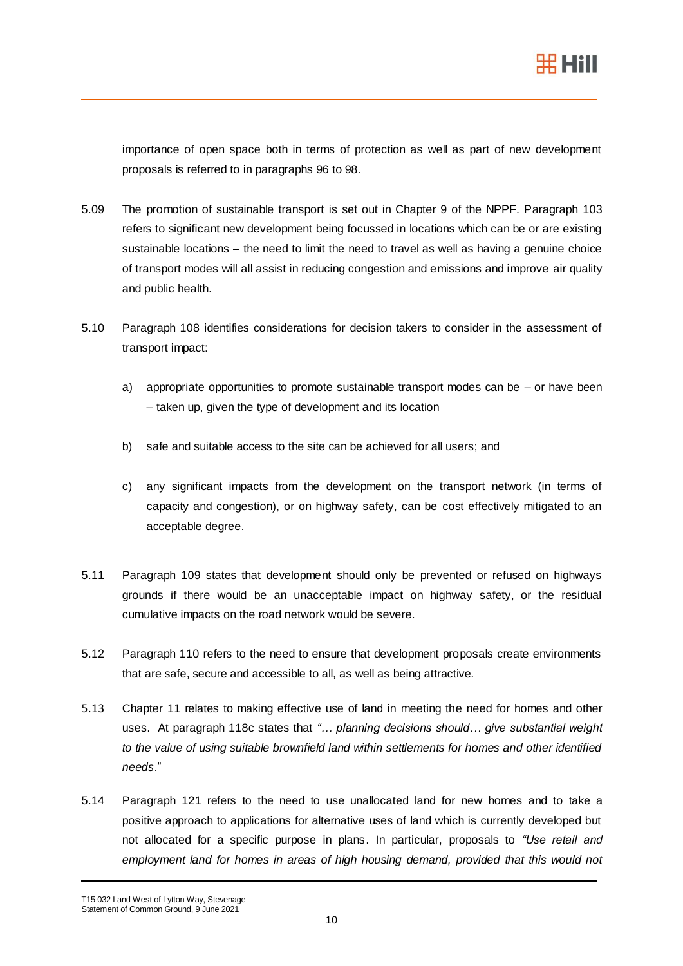importance of open space both in terms of protection as well as part of new development proposals is referred to in paragraphs 96 to 98.

- 5.09 The promotion of sustainable transport is set out in Chapter 9 of the NPPF. Paragraph 103 refers to significant new development being focussed in locations which can be or are existing sustainable locations – the need to limit the need to travel as well as having a genuine choice of transport modes will all assist in reducing congestion and emissions and improve air quality and public health.
- 5.10 Paragraph 108 identifies considerations for decision takers to consider in the assessment of transport impact:
	- a) appropriate opportunities to promote sustainable transport modes can be  $-$  or have been – taken up, given the type of development and its location
	- b) safe and suitable access to the site can be achieved for all users; and
	- c) any significant impacts from the development on the transport network (in terms of capacity and congestion), or on highway safety, can be cost effectively mitigated to an acceptable degree.
- 5.11 Paragraph 109 states that development should only be prevented or refused on highways grounds if there would be an unacceptable impact on highway safety, or the residual cumulative impacts on the road network would be severe.
- 5.12 Paragraph 110 refers to the need to ensure that development proposals create environments that are safe, secure and accessible to all, as well as being attractive.
- 5.13 Chapter 11 relates to making effective use of land in meeting the need for homes and other uses. At paragraph 118c states that *"… planning decisions should… give substantial weight to the value of using suitable brownfield land within settlements for homes and other identified needs*."
- 5.14 Paragraph 121 refers to the need to use unallocated land for new homes and to take a positive approach to applications for alternative uses of land which is currently developed but not allocated for a specific purpose in plans. In particular, proposals to *"Use retail and*  employment land for homes in areas of high housing demand, provided that this would not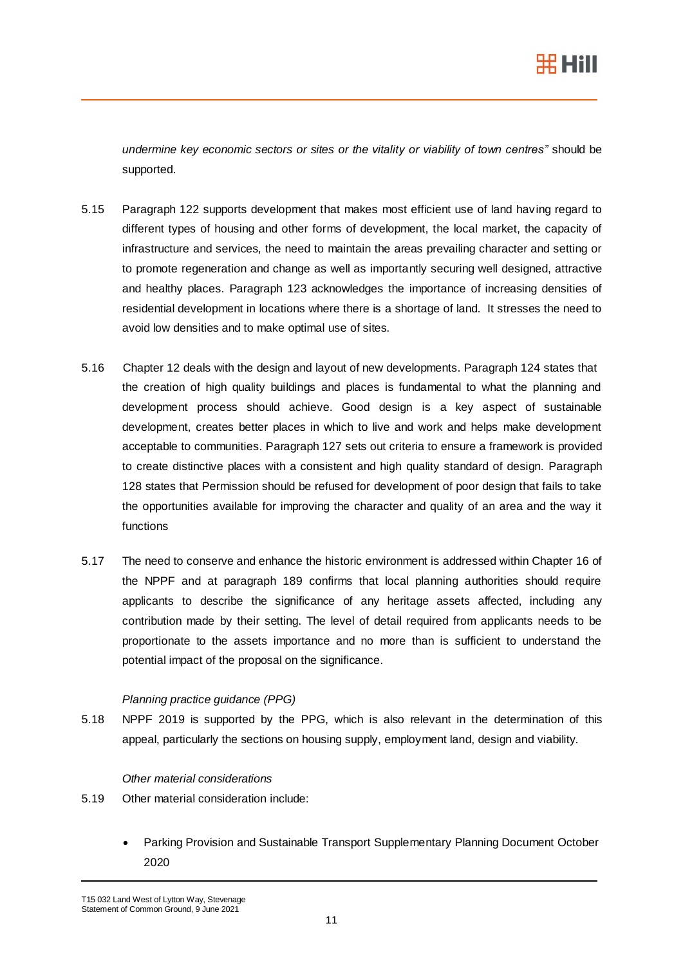

*undermine key economic sectors or sites or the vitality or viability of town centres"* should be supported.

- 5.15 Paragraph 122 supports development that makes most efficient use of land having regard to different types of housing and other forms of development, the local market, the capacity of infrastructure and services, the need to maintain the areas prevailing character and setting or to promote regeneration and change as well as importantly securing well designed, attractive and healthy places. Paragraph 123 acknowledges the importance of increasing densities of residential development in locations where there is a shortage of land. It stresses the need to avoid low densities and to make optimal use of sites.
- 5.16 Chapter 12 deals with the design and layout of new developments. Paragraph 124 states that the creation of high quality buildings and places is fundamental to what the planning and development process should achieve. Good design is a key aspect of sustainable development, creates better places in which to live and work and helps make development acceptable to communities. Paragraph 127 sets out criteria to ensure a framework is provided to create distinctive places with a consistent and high quality standard of design. Paragraph 128 states that Permission should be refused for development of poor design that fails to take the opportunities available for improving the character and quality of an area and the way it functions
- 5.17 The need to conserve and enhance the historic environment is addressed within Chapter 16 of the NPPF and at paragraph 189 confirms that local planning authorities should require applicants to describe the significance of any heritage assets affected, including any contribution made by their setting. The level of detail required from applicants needs to be proportionate to the assets importance and no more than is sufficient to understand the potential impact of the proposal on the significance.

## *Planning practice guidance (PPG)*

5.18 NPPF 2019 is supported by the PPG, which is also relevant in the determination of this appeal, particularly the sections on housing supply, employment land, design and viability.

### *Other material considerations*

- 5.19 Other material consideration include:
	- Parking Provision and Sustainable Transport Supplementary Planning Document October 2020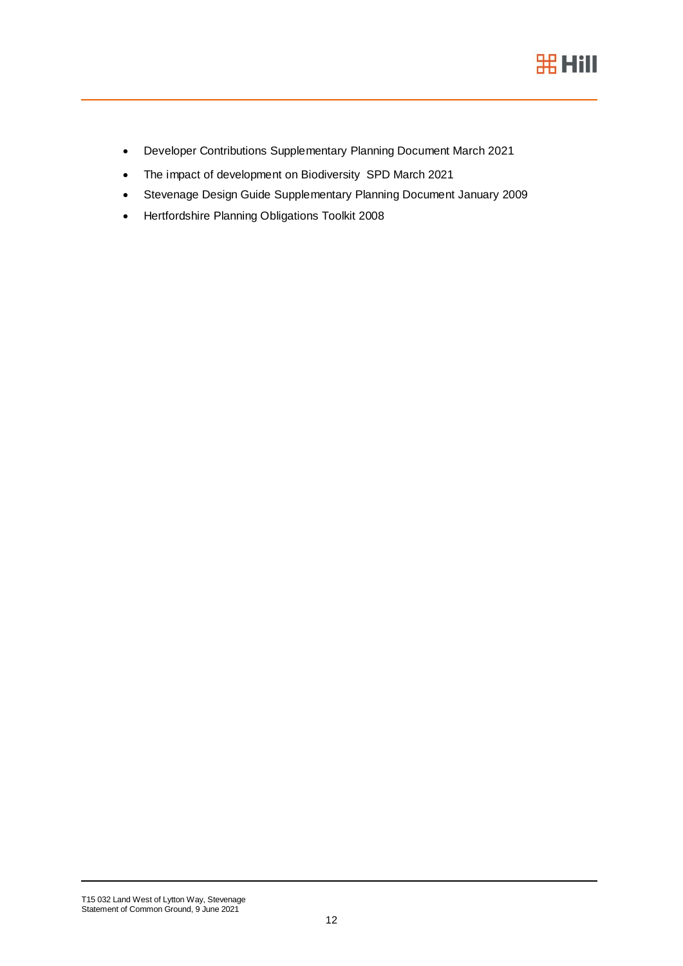

- Developer Contributions Supplementary Planning Document March 2021
- The impact of development on Biodiversity SPD March 2021
- Stevenage Design Guide Supplementary Planning Document January 2009
- Hertfordshire Planning Obligations Toolkit 2008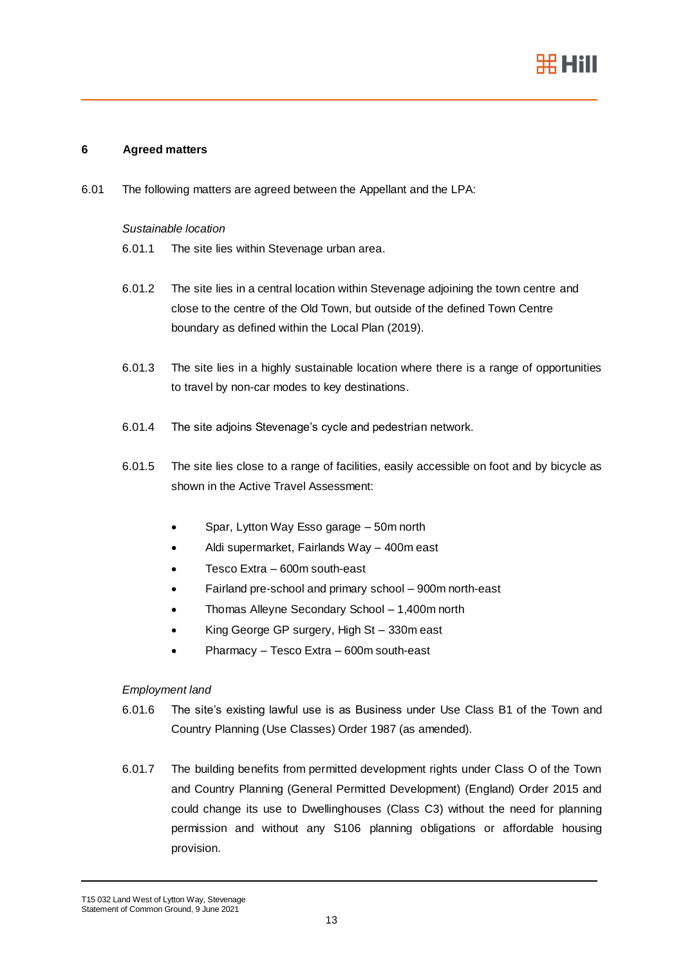

### **6 Agreed matters**

6.01 The following matters are agreed between the Appellant and the LPA:

#### *Sustainable location*

- 6.01.1 The site lies within Stevenage urban area.
- 6.01.2 The site lies in a central location within Stevenage adjoining the town centre and close to the centre of the Old Town, but outside of the defined Town Centre boundary as defined within the Local Plan (2019).
- 6.01.3 The site lies in a highly sustainable location where there is a range of opportunities to travel by non-car modes to key destinations.
- 6.01.4 The site adjoins Stevenage's cycle and pedestrian network.
- 6.01.5 The site lies close to a range of facilities, easily accessible on foot and by bicycle as shown in the Active Travel Assessment:
	- Spar, Lytton Way Esso garage 50m north
	- Aldi supermarket, Fairlands Way 400m east
	- Tesco Extra 600m south-east
	- Fairland pre-school and primary school 900m north-east
	- Thomas Alleyne Secondary School 1,400m north
	- King George GP surgery, High St 330m east
	- Pharmacy Tesco Extra 600m south-east

### *Employment land*

- 6.01.6 The site's existing lawful use is as Business under Use Class B1 of the Town and Country Planning (Use Classes) Order 1987 (as amended).
- 6.01.7 The building benefits from permitted development rights under Class O of the Town and Country Planning (General Permitted Development) (England) Order 2015 and could change its use to Dwellinghouses (Class C3) without the need for planning permission and without any S106 planning obligations or affordable housing provision.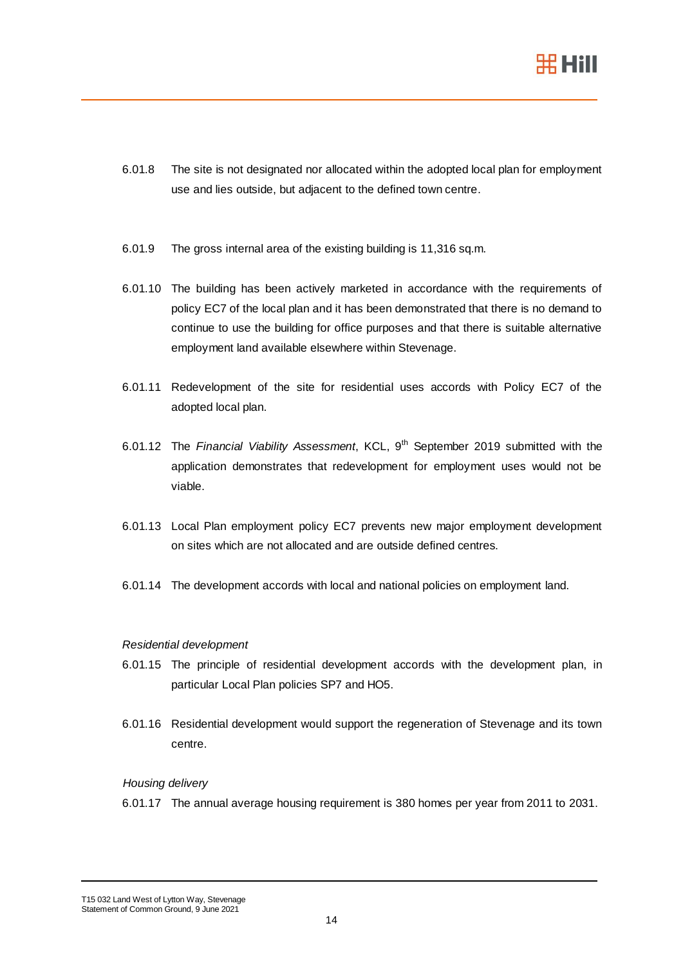

- 6.01.8 The site is not designated nor allocated within the adopted local plan for employment use and lies outside, but adjacent to the defined town centre.
- 6.01.9 The gross internal area of the existing building is 11,316 sq.m.
- 6.01.10 The building has been actively marketed in accordance with the requirements of policy EC7 of the local plan and it has been demonstrated that there is no demand to continue to use the building for office purposes and that there is suitable alternative employment land available elsewhere within Stevenage.
- 6.01.11 Redevelopment of the site for residential uses accords with Policy EC7 of the adopted local plan.
- 6.01.12 The *Financial Viability Assessment*, KCL, 9th September 2019 submitted with the application demonstrates that redevelopment for employment uses would not be viable.
- 6.01.13 Local Plan employment policy EC7 prevents new major employment development on sites which are not allocated and are outside defined centres.
- 6.01.14 The development accords with local and national policies on employment land.

### *Residential development*

- 6.01.15 The principle of residential development accords with the development plan, in particular Local Plan policies SP7 and HO5.
- 6.01.16 Residential development would support the regeneration of Stevenage and its town centre.

### *Housing delivery*

6.01.17 The annual average housing requirement is 380 homes per year from 2011 to 2031.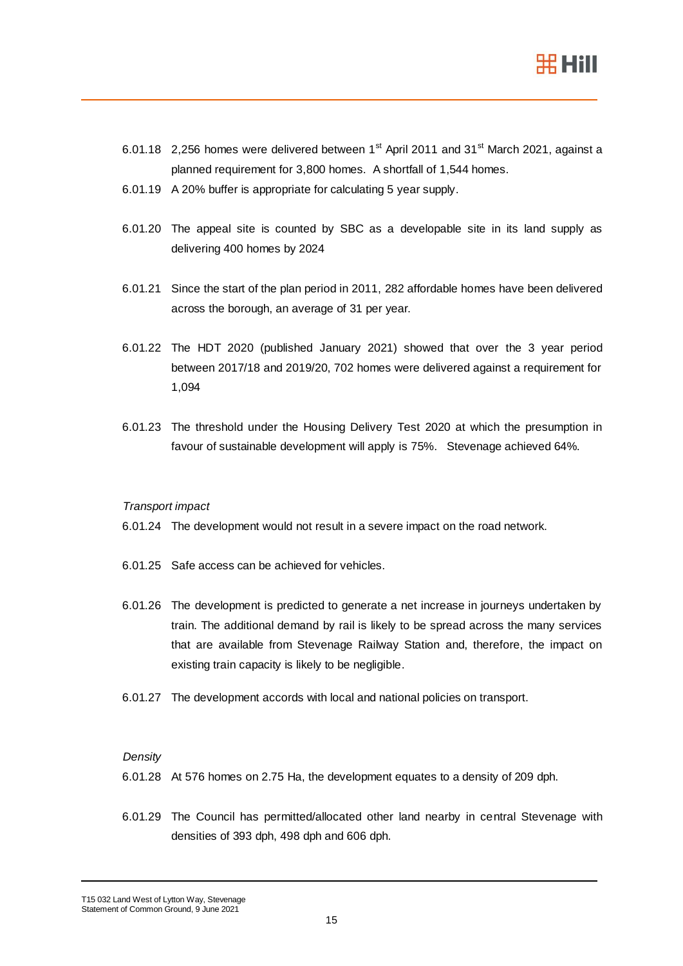

- 6.01.18 2,256 homes were delivered between  $1<sup>st</sup>$  April 2011 and 31 $<sup>st</sup>$  March 2021, against a</sup> planned requirement for 3,800 homes. A shortfall of 1,544 homes.
- 6.01.19 A 20% buffer is appropriate for calculating 5 year supply.
- 6.01.20 The appeal site is counted by SBC as a developable site in its land supply as delivering 400 homes by 2024
- 6.01.21 Since the start of the plan period in 2011, 282 affordable homes have been delivered across the borough, an average of 31 per year.
- 6.01.22 The HDT 2020 (published January 2021) showed that over the 3 year period between 2017/18 and 2019/20, 702 homes were delivered against a requirement for 1,094
- 6.01.23 The threshold under the Housing Delivery Test 2020 at which the presumption in favour of sustainable development will apply is 75%. Stevenage achieved 64%.

### *Transport impact*

- 6.01.24 The development would not result in a severe impact on the road network.
- 6.01.25 Safe access can be achieved for vehicles.
- 6.01.26 The development is predicted to generate a net increase in journeys undertaken by train. The additional demand by rail is likely to be spread across the many services that are available from Stevenage Railway Station and, therefore, the impact on existing train capacity is likely to be negligible.
- 6.01.27 The development accords with local and national policies on transport.

### *Density*

- 6.01.28 At 576 homes on 2.75 Ha, the development equates to a density of 209 dph.
- 6.01.29 The Council has permitted/allocated other land nearby in central Stevenage with densities of 393 dph, 498 dph and 606 dph.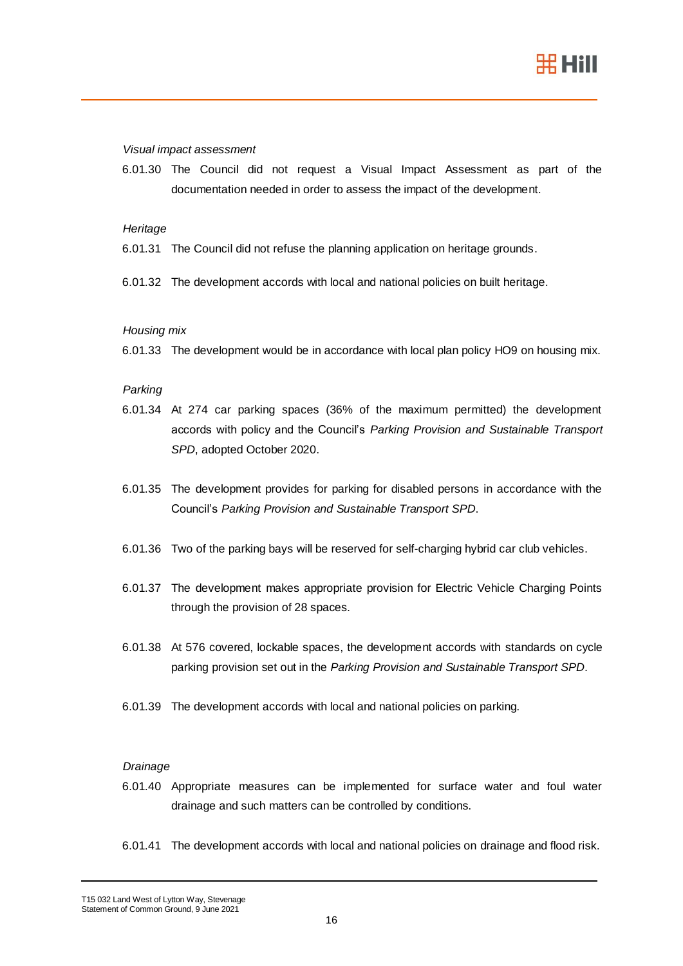

#### *Visual impact assessment*

6.01.30 The Council did not request a Visual Impact Assessment as part of the documentation needed in order to assess the impact of the development.

#### *Heritage*

- 6.01.31 The Council did not refuse the planning application on heritage grounds.
- 6.01.32 The development accords with local and national policies on built heritage.

#### *Housing mix*

6.01.33 The development would be in accordance with local plan policy HO9 on housing mix.

#### *Parking*

- 6.01.34 At 274 car parking spaces (36% of the maximum permitted) the development accords with policy and the Council's *Parking Provision and Sustainable Transport SPD*, adopted October 2020.
- 6.01.35 The development provides for parking for disabled persons in accordance with the Council's *Parking Provision and Sustainable Transport SPD*.
- 6.01.36 Two of the parking bays will be reserved for self-charging hybrid car club vehicles.
- 6.01.37 The development makes appropriate provision for Electric Vehicle Charging Points through the provision of 28 spaces.
- 6.01.38 At 576 covered, lockable spaces, the development accords with standards on cycle parking provision set out in the *Parking Provision and Sustainable Transport SPD*.
- 6.01.39 The development accords with local and national policies on parking.

## *Drainage*

- 6.01.40 Appropriate measures can be implemented for surface water and foul water drainage and such matters can be controlled by conditions.
- 6.01.41 The development accords with local and national policies on drainage and flood risk.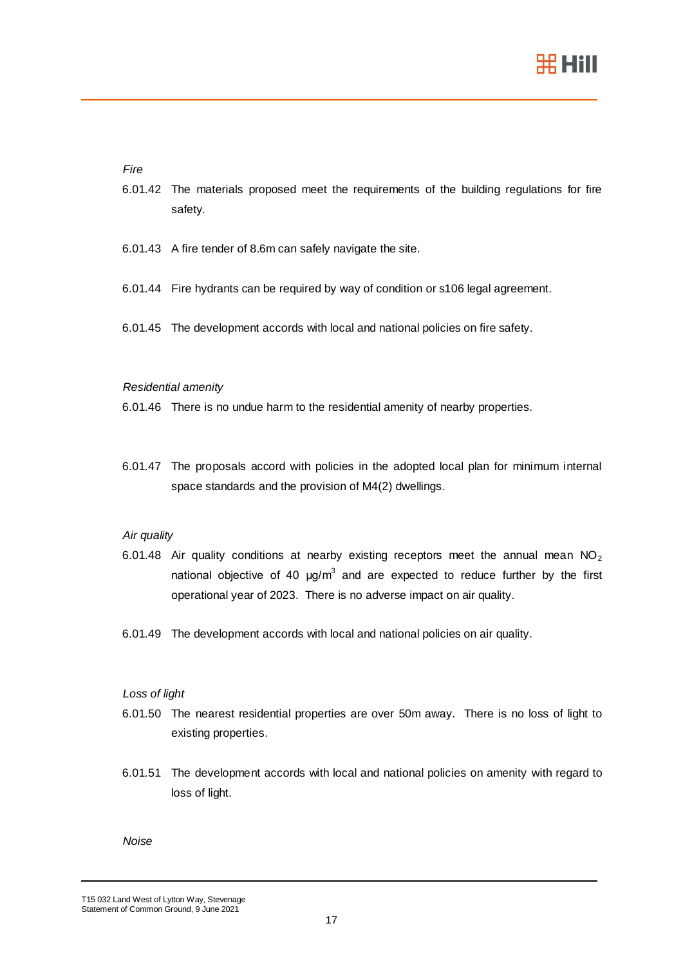

### *Fire*

- 6.01.42 The materials proposed meet the requirements of the building regulations for fire safety.
- 6.01.43 A fire tender of 8.6m can safely navigate the site.
- 6.01.44 Fire hydrants can be required by way of condition or s106 legal agreement.
- 6.01.45 The development accords with local and national policies on fire safety.

#### *Residential amenity*

- 6.01.46 There is no undue harm to the residential amenity of nearby properties.
- 6.01.47 The proposals accord with policies in the adopted local plan for minimum internal space standards and the provision of M4(2) dwellings.

### *Air quality*

- 6.01.48 Air quality conditions at nearby existing receptors meet the annual mean  $NO<sub>2</sub>$ national objective of 40  $\mu$ g/m<sup>3</sup> and are expected to reduce further by the first operational year of 2023. There is no adverse impact on air quality.
- 6.01.49 The development accords with local and national policies on air quality.

### *Loss of light*

- 6.01.50 The nearest residential properties are over 50m away. There is no loss of light to existing properties.
- 6.01.51 The development accords with local and national policies on amenity with regard to loss of light.

#### *Noise*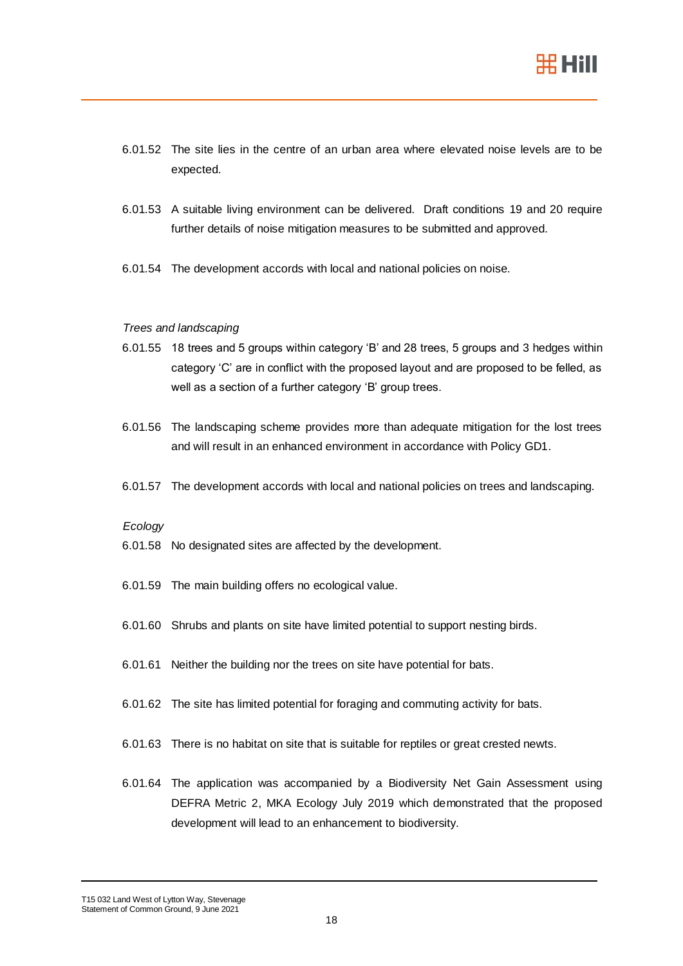

- 6.01.52 The site lies in the centre of an urban area where elevated noise levels are to be expected.
- 6.01.53 A suitable living environment can be delivered. Draft conditions [19](#page-29-0) and [20](#page-29-1) require further details of noise mitigation measures to be submitted and approved.
- 6.01.54 The development accords with local and national policies on noise.

#### *Trees and landscaping*

- 6.01.55 18 trees and 5 groups within category 'B' and 28 trees, 5 groups and 3 hedges within category 'C' are in conflict with the proposed layout and are proposed to be felled, as well as a section of a further category 'B' group trees.
- 6.01.56 The landscaping scheme provides more than adequate mitigation for the lost trees and will result in an enhanced environment in accordance with Policy GD1.
- 6.01.57 The development accords with local and national policies on trees and landscaping.

### *Ecology*

- 6.01.58 No designated sites are affected by the development.
- 6.01.59 The main building offers no ecological value.
- 6.01.60 Shrubs and plants on site have limited potential to support nesting birds.
- 6.01.61 Neither the building nor the trees on site have potential for bats.
- 6.01.62 The site has limited potential for foraging and commuting activity for bats.
- 6.01.63 There is no habitat on site that is suitable for reptiles or great crested newts.
- 6.01.64 The application was accompanied by a Biodiversity Net Gain Assessment using DEFRA Metric 2, MKA Ecology July 2019 which demonstrated that the proposed development will lead to an enhancement to biodiversity.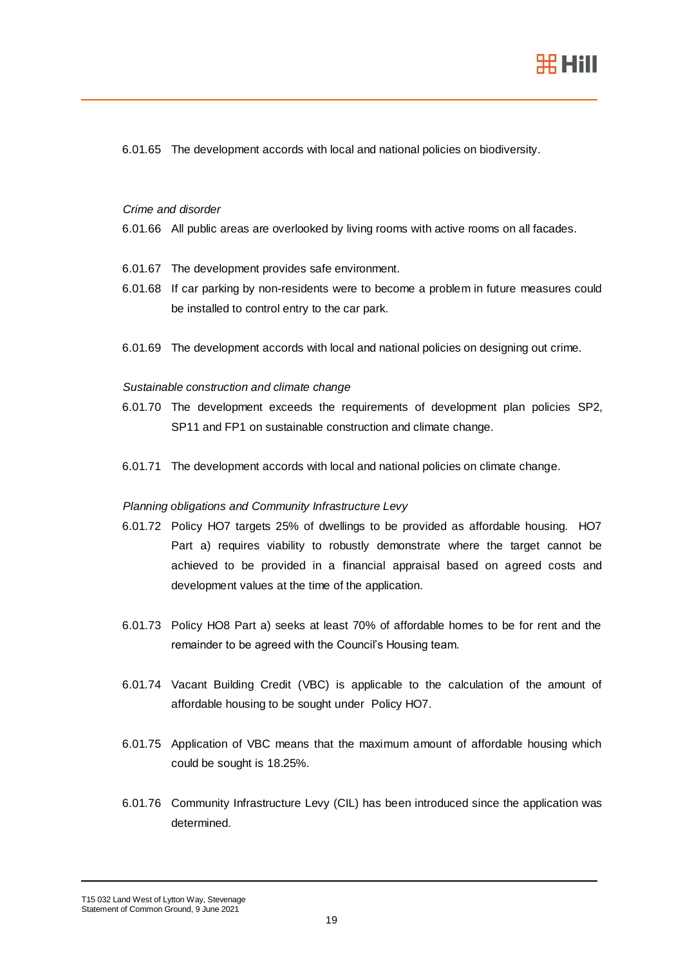

6.01.65 The development accords with local and national policies on biodiversity.

### *Crime and disorder*

- 6.01.66 All public areas are overlooked by living rooms with active rooms on all facades.
- 6.01.67 The development provides safe environment.
- 6.01.68 If car parking by non-residents were to become a problem in future measures could be installed to control entry to the car park.
- 6.01.69 The development accords with local and national policies on designing out crime.

### *Sustainable construction and climate change*

- 6.01.70 The development exceeds the requirements of development plan policies SP2, SP11 and FP1 on sustainable construction and climate change.
- 6.01.71 The development accords with local and national policies on climate change.

### *Planning obligations and Community Infrastructure Levy*

- 6.01.72 Policy HO7 targets 25% of dwellings to be provided as affordable housing. HO7 Part a) requires viability to robustly demonstrate where the target cannot be achieved to be provided in a financial appraisal based on agreed costs and development values at the time of the application.
- 6.01.73 Policy HO8 Part a) seeks at least 70% of affordable homes to be for rent and the remainder to be agreed with the Council's Housing team.
- 6.01.74 Vacant Building Credit (VBC) is applicable to the calculation of the amount of affordable housing to be sought under Policy HO7.
- 6.01.75 Application of VBC means that the maximum amount of affordable housing which could be sought is 18.25%.
- 6.01.76 Community Infrastructure Levy (CIL) has been introduced since the application was determined.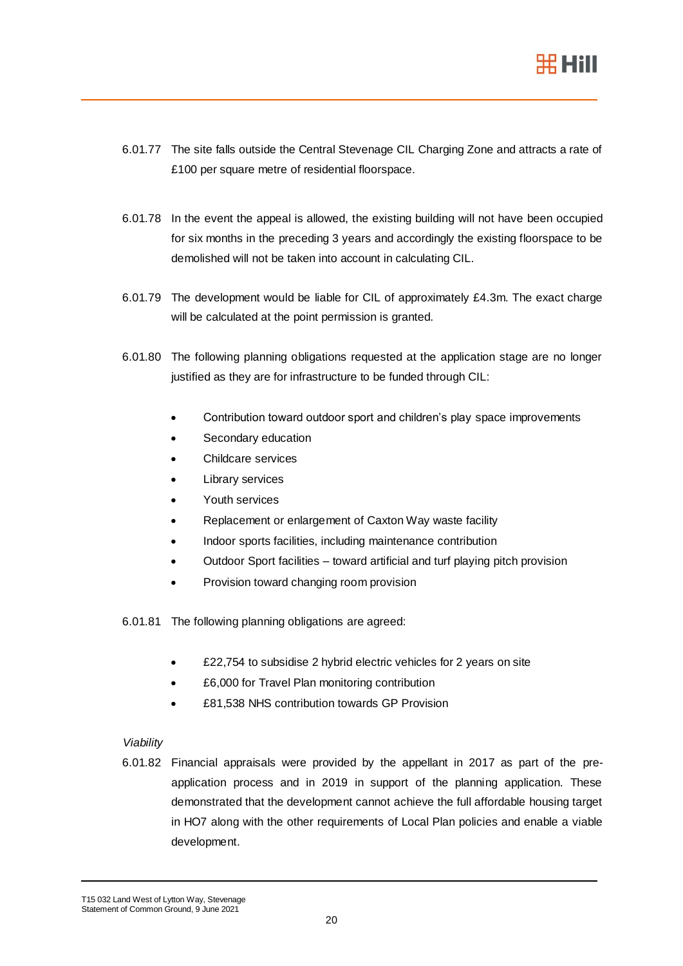

- 6.01.77 The site falls outside the Central Stevenage CIL Charging Zone and attracts a rate of £100 per square metre of residential floorspace.
- 6.01.78 In the event the appeal is allowed, the existing building will not have been occupied for six months in the preceding 3 years and accordingly the existing floorspace to be demolished will not be taken into account in calculating CIL.
- 6.01.79 The development would be liable for CIL of approximately £4.3m. The exact charge will be calculated at the point permission is granted.
- 6.01.80 The following planning obligations requested at the application stage are no longer justified as they are for infrastructure to be funded through CIL:
	- Contribution toward outdoor sport and children's play space improvements
	- Secondary education
	- Childcare services
	- Library services
	- Youth services
	- Replacement or enlargement of Caxton Way waste facility
	- Indoor sports facilities, including maintenance contribution
	- Outdoor Sport facilities toward artificial and turf playing pitch provision
	- Provision toward changing room provision
- 6.01.81 The following planning obligations are agreed:
	- £22,754 to subsidise 2 hybrid electric vehicles for 2 years on site
	- £6,000 for Travel Plan monitoring contribution
	- £81,538 NHS contribution towards GP Provision

## *Viability*

6.01.82 Financial appraisals were provided by the appellant in 2017 as part of the preapplication process and in 2019 in support of the planning application. These demonstrated that the development cannot achieve the full affordable housing target in HO7 along with the other requirements of Local Plan policies and enable a viable development.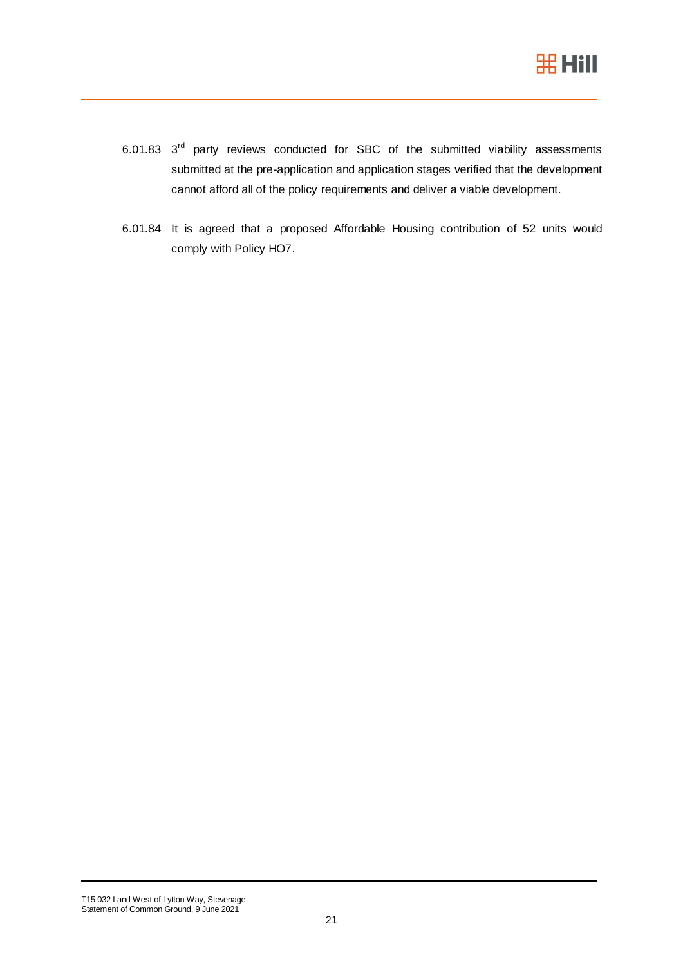

- 6.01.83  $3<sup>rd</sup>$  party reviews conducted for SBC of the submitted viability assessments submitted at the pre-application and application stages verified that the development cannot afford all of the policy requirements and deliver a viable development.
- 6.01.84 It is agreed that a proposed Affordable Housing contribution of 52 units would comply with Policy HO7.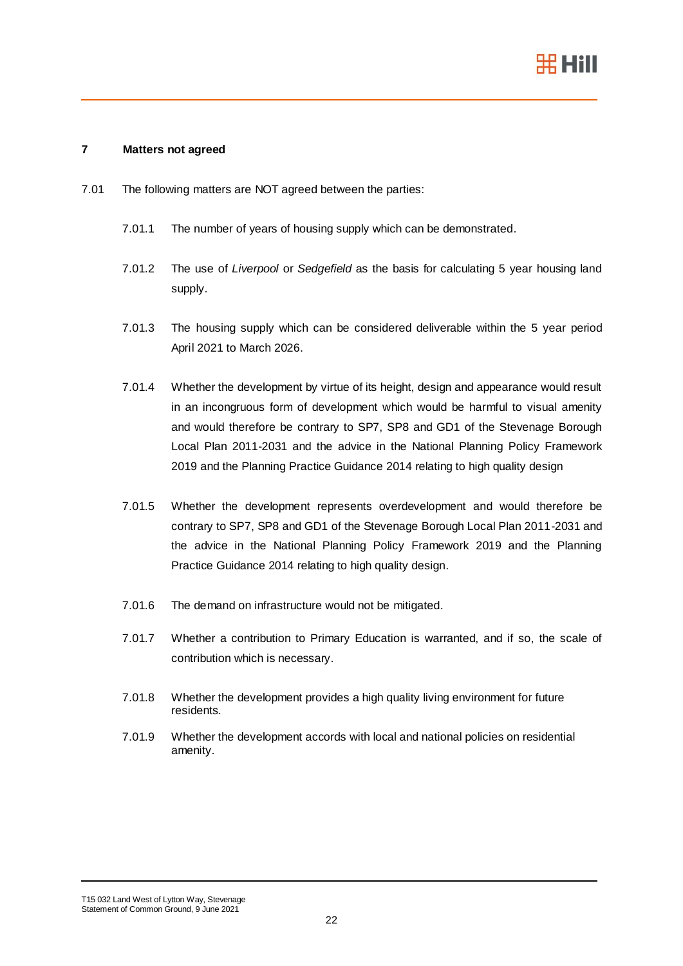

### **7 Matters not agreed**

- 7.01 The following matters are NOT agreed between the parties:
	- 7.01.1 The number of years of housing supply which can be demonstrated.
	- 7.01.2 The use of *Liverpool* or *Sedgefield* as the basis for calculating 5 year housing land supply.
	- 7.01.3 The housing supply which can be considered deliverable within the 5 year period April 2021 to March 2026.
	- 7.01.4 Whether the development by virtue of its height, design and appearance would result in an incongruous form of development which would be harmful to visual amenity and would therefore be contrary to SP7, SP8 and GD1 of the Stevenage Borough Local Plan 2011-2031 and the advice in the National Planning Policy Framework 2019 and the Planning Practice Guidance 2014 relating to high quality design
	- 7.01.5 Whether the development represents overdevelopment and would therefore be contrary to SP7, SP8 and GD1 of the Stevenage Borough Local Plan 2011-2031 and the advice in the National Planning Policy Framework 2019 and the Planning Practice Guidance 2014 relating to high quality design.
	- 7.01.6 The demand on infrastructure would not be mitigated.
	- 7.01.7 Whether a contribution to Primary Education is warranted, and if so, the scale of contribution which is necessary.
	- 7.01.8 Whether the development provides a high quality living environment for future residents.
	- 7.01.9 Whether the development accords with local and national policies on residential amenity.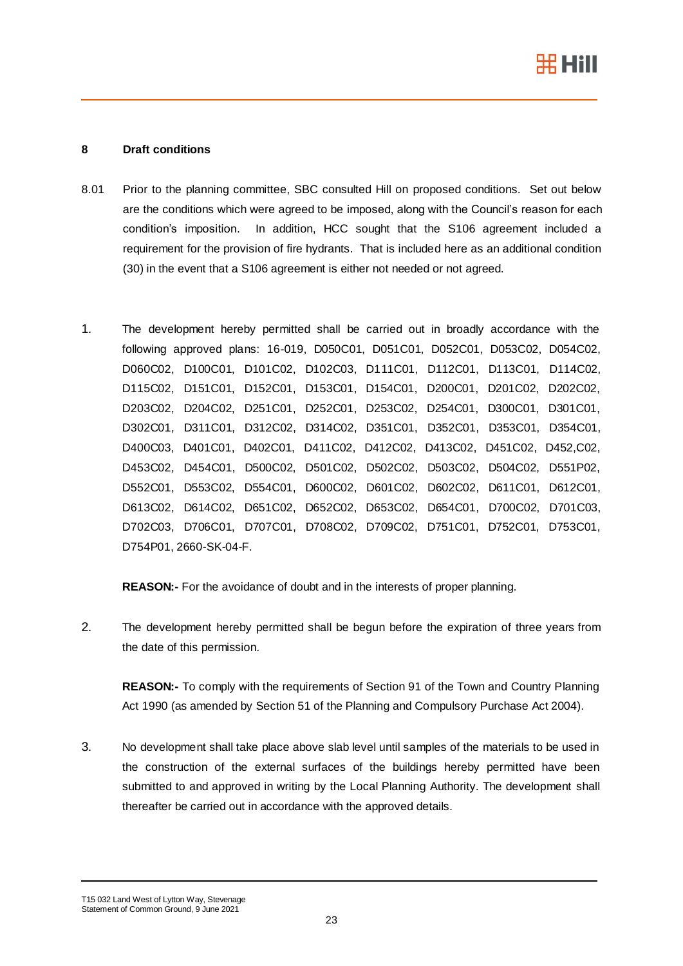

## **8 Draft conditions**

- 8.01 Prior to the planning committee, SBC consulted Hill on proposed conditions. Set out below are the conditions which were agreed to be imposed, along with the Council's reason for each condition's imposition. In addition, HCC sought that the S106 agreement included a requirement for the provision of fire hydrants. That is included here as an additional condition (30) in the event that a S106 agreement is either not needed or not agreed.
- 1. The development hereby permitted shall be carried out in broadly accordance with the following approved plans: 16-019, D050C01, D051C01, D052C01, D053C02, D054C02, D060C02, D100C01, D101C02, D102C03, D111C01, D112C01, D113C01, D114C02, D115C02, D151C01, D152C01, D153C01, D154C01, D200C01, D201C02, D202C02, D203C02, D204C02, D251C01, D252C01, D253C02, D254C01, D300C01, D301C01, D302C01, D311C01, D312C02, D314C02, D351C01, D352C01, D353C01, D354C01, D400C03, D401C01, D402C01, D411C02, D412C02, D413C02, D451C02, D452,C02, D453C02, D454C01, D500C02, D501C02, D502C02, D503C02, D504C02, D551P02, D552C01, D553C02, D554C01, D600C02, D601C02, D602C02, D611C01, D612C01, D613C02, D614C02, D651C02, D652C02, D653C02, D654C01, D700C02, D701C03, D702C03, D706C01, D707C01, D708C02, D709C02, D751C01, D752C01, D753C01, D754P01, 2660-SK-04-F.

**REASON:-** For the avoidance of doubt and in the interests of proper planning.

2. The development hereby permitted shall be begun before the expiration of three years from the date of this permission.

**REASON:-** To comply with the requirements of Section 91 of the Town and Country Planning Act 1990 (as amended by Section 51 of the Planning and Compulsory Purchase Act 2004).

3. No development shall take place above slab level until samples of the materials to be used in the construction of the external surfaces of the buildings hereby permitted have been submitted to and approved in writing by the Local Planning Authority. The development shall thereafter be carried out in accordance with the approved details.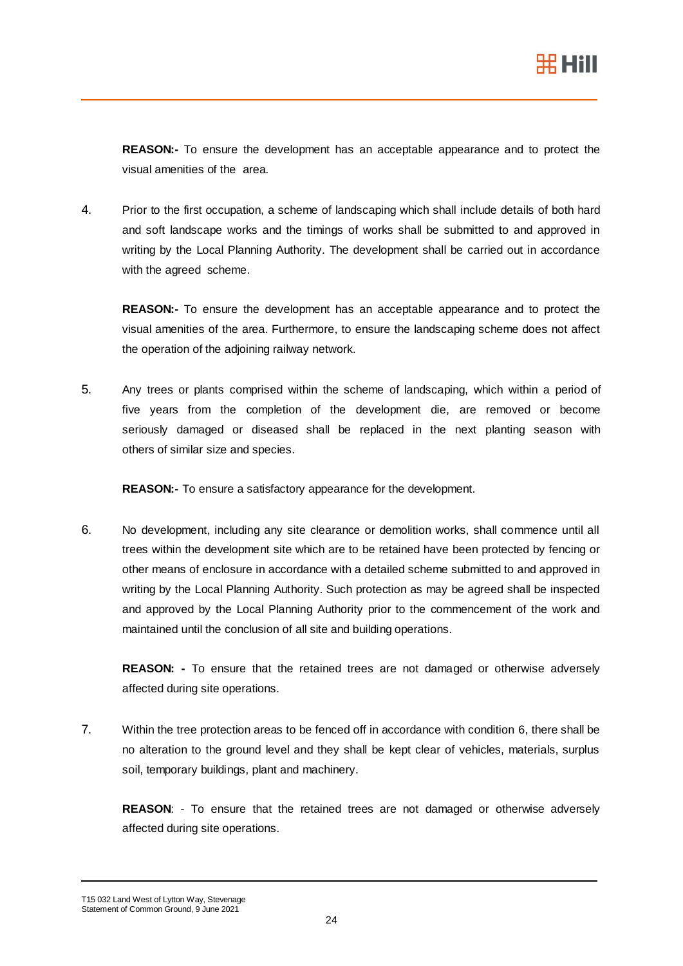**REASON:-** To ensure the development has an acceptable appearance and to protect the visual amenities of the area.

4. Prior to the first occupation, a scheme of landscaping which shall include details of both hard and soft landscape works and the timings of works shall be submitted to and approved in writing by the Local Planning Authority. The development shall be carried out in accordance with the agreed scheme.

**REASON:-** To ensure the development has an acceptable appearance and to protect the visual amenities of the area. Furthermore, to ensure the landscaping scheme does not affect the operation of the adjoining railway network.

5. Any trees or plants comprised within the scheme of landscaping, which within a period of five years from the completion of the development die, are removed or become seriously damaged or diseased shall be replaced in the next planting season with others of similar size and species.

**REASON:-** To ensure a satisfactory appearance for the development.

6. No development, including any site clearance or demolition works, shall commence until all trees within the development site which are to be retained have been protected by fencing or other means of enclosure in accordance with a detailed scheme submitted to and approved in writing by the Local Planning Authority. Such protection as may be agreed shall be inspected and approved by the Local Planning Authority prior to the commencement of the work and maintained until the conclusion of all site and building operations.

**REASON: -** To ensure that the retained trees are not damaged or otherwise adversely affected during site operations.

7. Within the tree protection areas to be fenced off in accordance with condition 6, there shall be no alteration to the ground level and they shall be kept clear of vehicles, materials, surplus soil, temporary buildings, plant and machinery.

**REASON**: - To ensure that the retained trees are not damaged or otherwise adversely affected during site operations.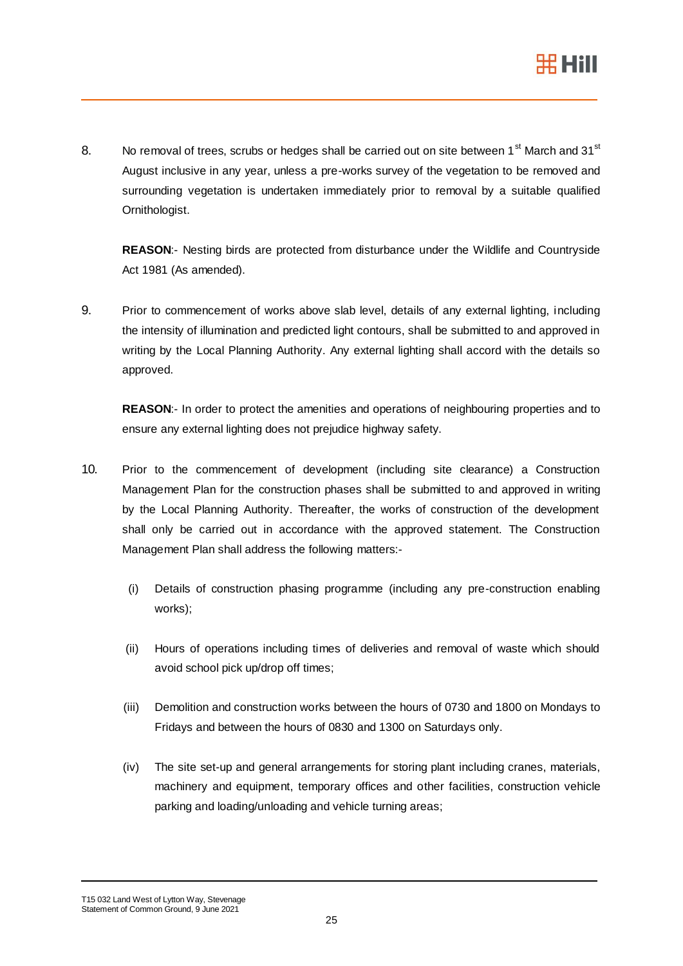

8. No removal of trees, scrubs or hedges shall be carried out on site between 1<sup>st</sup> March and 31<sup>st</sup> August inclusive in any year, unless a pre-works survey of the vegetation to be removed and surrounding vegetation is undertaken immediately prior to removal by a suitable qualified Ornithologist.

**REASON**:- Nesting birds are protected from disturbance under the Wildlife and Countryside Act 1981 (As amended).

9. Prior to commencement of works above slab level, details of any external lighting, including the intensity of illumination and predicted light contours, shall be submitted to and approved in writing by the Local Planning Authority. Any external lighting shall accord with the details so approved.

**REASON**:- In order to protect the amenities and operations of neighbouring properties and to ensure any external lighting does not prejudice highway safety.

- 10. Prior to the commencement of development (including site clearance) a Construction Management Plan for the construction phases shall be submitted to and approved in writing by the Local Planning Authority. Thereafter, the works of construction of the development shall only be carried out in accordance with the approved statement. The Construction Management Plan shall address the following matters:-
	- (i) Details of construction phasing programme (including any pre-construction enabling works);
	- (ii) Hours of operations including times of deliveries and removal of waste which should avoid school pick up/drop off times;
	- (iii) Demolition and construction works between the hours of 0730 and 1800 on Mondays to Fridays and between the hours of 0830 and 1300 on Saturdays only.
	- (iv) The site set-up and general arrangements for storing plant including cranes, materials, machinery and equipment, temporary offices and other facilities, construction vehicle parking and loading/unloading and vehicle turning areas;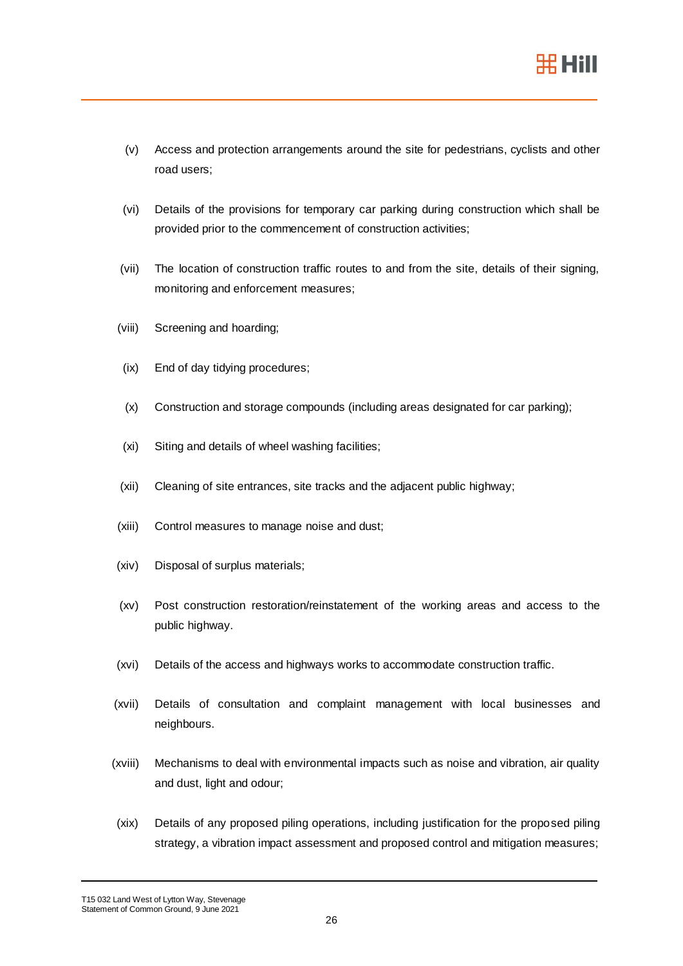

- (v) Access and protection arrangements around the site for pedestrians, cyclists and other road users;
- (vi) Details of the provisions for temporary car parking during construction which shall be provided prior to the commencement of construction activities;
- (vii) The location of construction traffic routes to and from the site, details of their signing, monitoring and enforcement measures;
- (viii) Screening and hoarding;
- (ix) End of day tidying procedures;
- (x) Construction and storage compounds (including areas designated for car parking);
- (xi) Siting and details of wheel washing facilities;
- (xii) Cleaning of site entrances, site tracks and the adjacent public highway;
- (xiii) Control measures to manage noise and dust;
- (xiv) Disposal of surplus materials;
- (xv) Post construction restoration/reinstatement of the working areas and access to the public highway.
- (xvi) Details of the access and highways works to accommodate construction traffic.
- (xvii) Details of consultation and complaint management with local businesses and neighbours.
- (xviii) Mechanisms to deal with environmental impacts such as noise and vibration, air quality and dust, light and odour;
- (xix) Details of any proposed piling operations, including justification for the proposed piling strategy, a vibration impact assessment and proposed control and mitigation measures;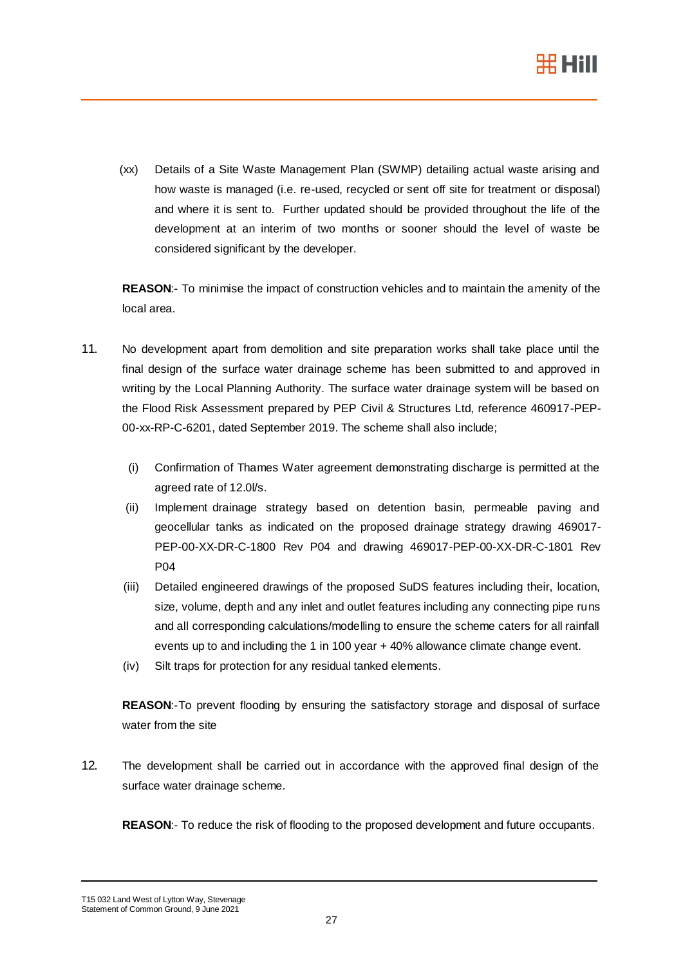

(xx) Details of a Site Waste Management Plan (SWMP) detailing actual waste arising and how waste is managed (i.e. re-used, recycled or sent off site for treatment or disposal) and where it is sent to. Further updated should be provided throughout the life of the development at an interim of two months or sooner should the level of waste be considered significant by the developer.

**REASON**:- To minimise the impact of construction vehicles and to maintain the amenity of the local area.

- 11. No development apart from demolition and site preparation works shall take place until the final design of the surface water drainage scheme has been submitted to and approved in writing by the Local Planning Authority. The surface water drainage system will be based on the Flood Risk Assessment prepared by PEP Civil & Structures Ltd, reference 460917-PEP-00-xx-RP-C-6201, dated September 2019. The scheme shall also include;
	- (i) Confirmation of Thames Water agreement demonstrating discharge is permitted at the agreed rate of 12.0l/s.
	- (ii) Implement drainage strategy based on detention basin, permeable paving and geocellular tanks as indicated on the proposed drainage strategy drawing 469017- PEP-00-XX-DR-C-1800 Rev P04 and drawing 469017-PEP-00-XX-DR-C-1801 Rev P04
	- (iii) Detailed engineered drawings of the proposed SuDS features including their, location, size, volume, depth and any inlet and outlet features including any connecting pipe runs and all corresponding calculations/modelling to ensure the scheme caters for all rainfall events up to and including the 1 in 100 year + 40% allowance climate change event.
	- (iv) Silt traps for protection for any residual tanked elements.

**REASON**:-To prevent flooding by ensuring the satisfactory storage and disposal of surface water from the site

12. The development shall be carried out in accordance with the approved final design of the surface water drainage scheme.

**REASON**:- To reduce the risk of flooding to the proposed development and future occupants.

T15 032 Land West of Lytton Way, Stevenage Statement of Common Ground, 9 June 2021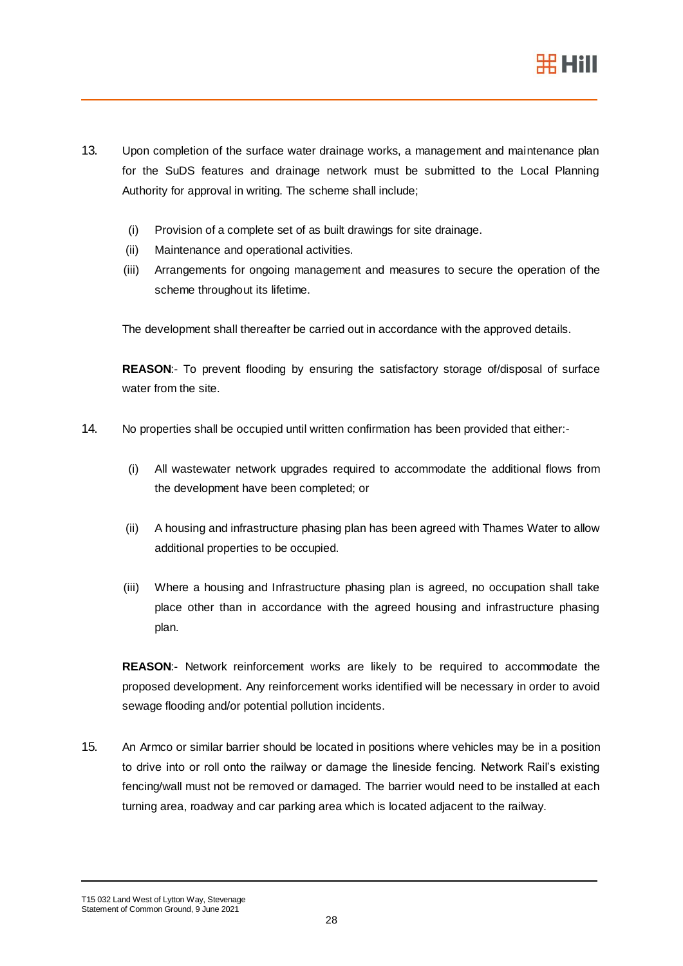

- 13. Upon completion of the surface water drainage works, a management and maintenance plan for the SuDS features and drainage network must be submitted to the Local Planning Authority for approval in writing. The scheme shall include;
	- (i) Provision of a complete set of as built drawings for site drainage.
	- (ii) Maintenance and operational activities.
	- (iii) Arrangements for ongoing management and measures to secure the operation of the scheme throughout its lifetime.

The development shall thereafter be carried out in accordance with the approved details.

**REASON**:- To prevent flooding by ensuring the satisfactory storage of/disposal of surface water from the site.

- 14. No properties shall be occupied until written confirmation has been provided that either:-
	- (i) All wastewater network upgrades required to accommodate the additional flows from the development have been completed; or
	- (ii) A housing and infrastructure phasing plan has been agreed with Thames Water to allow additional properties to be occupied.
	- (iii) Where a housing and Infrastructure phasing plan is agreed, no occupation shall take place other than in accordance with the agreed housing and infrastructure phasing plan.

**REASON**:- Network reinforcement works are likely to be required to accommodate the proposed development. Any reinforcement works identified will be necessary in order to avoid sewage flooding and/or potential pollution incidents.

15. An Armco or similar barrier should be located in positions where vehicles may be in a position to drive into or roll onto the railway or damage the lineside fencing. Network Rail's existing fencing/wall must not be removed or damaged. The barrier would need to be installed at each turning area, roadway and car parking area which is located adjacent to the railway.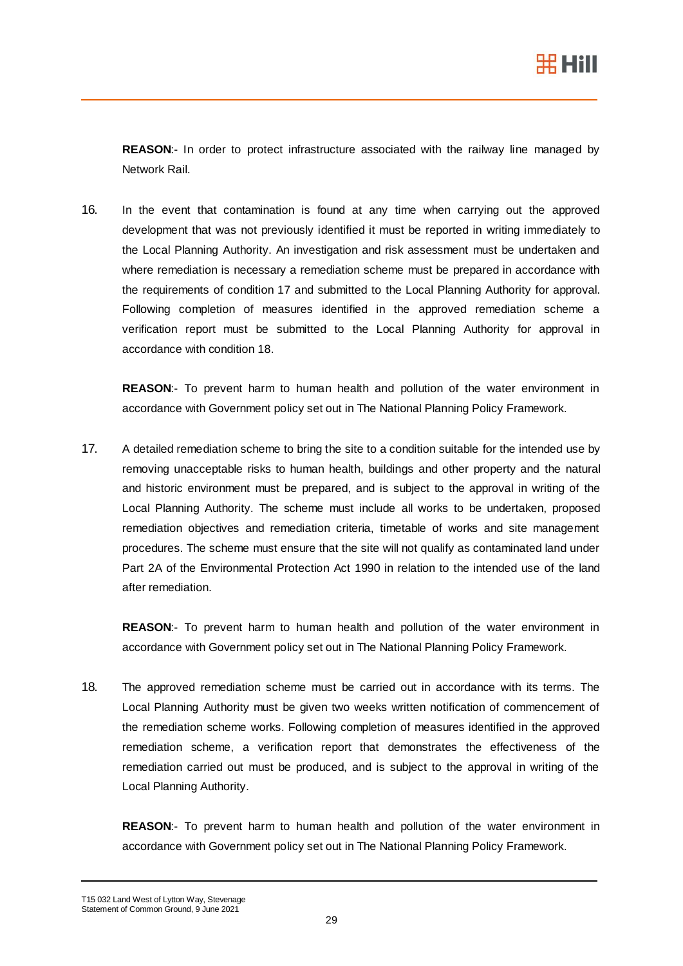

**REASON**:- In order to protect infrastructure associated with the railway line managed by Network Rail.

16. In the event that contamination is found at any time when carrying out the approved development that was not previously identified it must be reported in writing immediately to the Local Planning Authority. An investigation and risk assessment must be undertaken and where remediation is necessary a remediation scheme must be prepared in accordance with the requirements of condition 17 and submitted to the Local Planning Authority for approval. Following completion of measures identified in the approved remediation scheme a verification report must be submitted to the Local Planning Authority for approval in accordance with condition 18.

**REASON**:- To prevent harm to human health and pollution of the water environment in accordance with Government policy set out in The National Planning Policy Framework.

17. A detailed remediation scheme to bring the site to a condition suitable for the intended use by removing unacceptable risks to human health, buildings and other property and the natural and historic environment must be prepared, and is subject to the approval in writing of the Local Planning Authority. The scheme must include all works to be undertaken, proposed remediation objectives and remediation criteria, timetable of works and site management procedures. The scheme must ensure that the site will not qualify as contaminated land under Part 2A of the Environmental Protection Act 1990 in relation to the intended use of the land after remediation.

**REASON**:- To prevent harm to human health and pollution of the water environment in accordance with Government policy set out in The National Planning Policy Framework.

18. The approved remediation scheme must be carried out in accordance with its terms. The Local Planning Authority must be given two weeks written notification of commencement of the remediation scheme works. Following completion of measures identified in the approved remediation scheme, a verification report that demonstrates the effectiveness of the remediation carried out must be produced, and is subject to the approval in writing of the Local Planning Authority.

**REASON**:- To prevent harm to human health and pollution of the water environment in accordance with Government policy set out in The National Planning Policy Framework.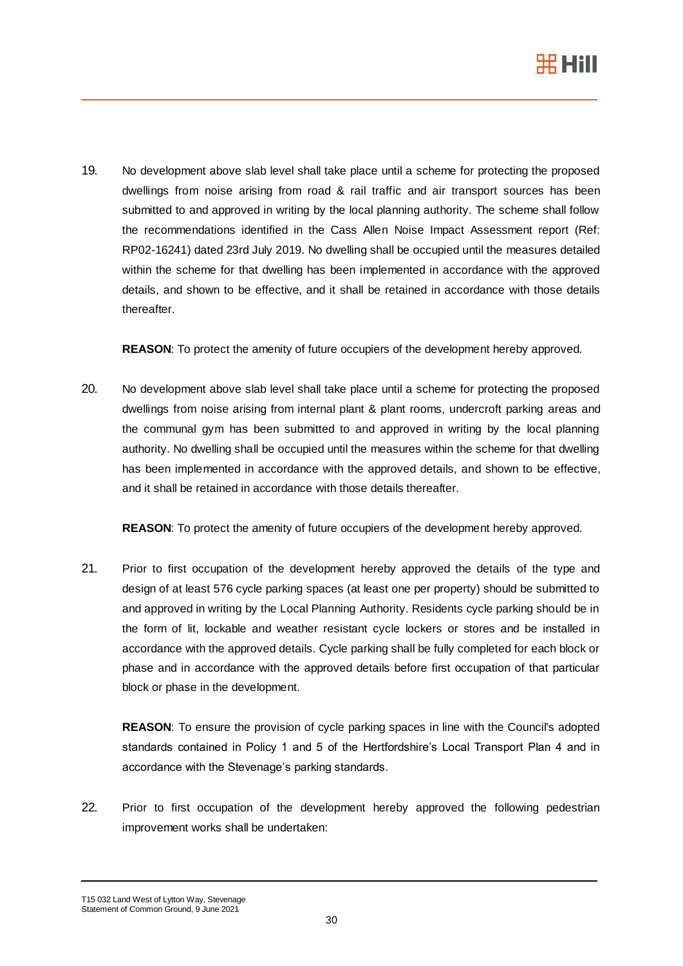

<span id="page-29-0"></span>19. No development above slab level shall take place until a scheme for protecting the proposed dwellings from noise arising from road & rail traffic and air transport sources has been submitted to and approved in writing by the local planning authority. The scheme shall follow the recommendations identified in the Cass Allen Noise Impact Assessment report (Ref: RP02-16241) dated 23rd July 2019. No dwelling shall be occupied until the measures detailed within the scheme for that dwelling has been implemented in accordance with the approved details, and shown to be effective, and it shall be retained in accordance with those details thereafter.

**REASON**: To protect the amenity of future occupiers of the development hereby approved.

<span id="page-29-1"></span>20. No development above slab level shall take place until a scheme for protecting the proposed dwellings from noise arising from internal plant & plant rooms, undercroft parking areas and the communal gym has been submitted to and approved in writing by the local planning authority. No dwelling shall be occupied until the measures within the scheme for that dwelling has been implemented in accordance with the approved details, and shown to be effective, and it shall be retained in accordance with those details thereafter.

**REASON**: To protect the amenity of future occupiers of the development hereby approved.

21. Prior to first occupation of the development hereby approved the details of the type and design of at least 576 cycle parking spaces (at least one per property) should be submitted to and approved in writing by the Local Planning Authority. Residents cycle parking should be in the form of lit, lockable and weather resistant cycle lockers or stores and be installed in accordance with the approved details. Cycle parking shall be fully completed for each block or phase and in accordance with the approved details before first occupation of that particular block or phase in the development.

**REASON**: To ensure the provision of cycle parking spaces in line with the Council's adopted standards contained in Policy 1 and 5 of the Hertfordshire's Local Transport Plan 4 and in accordance with the Stevenage's parking standards.

22. Prior to first occupation of the development hereby approved the following pedestrian improvement works shall be undertaken:

T15 032 Land West of Lytton Way, Stevenage Statement of Common Ground, 9 June 2021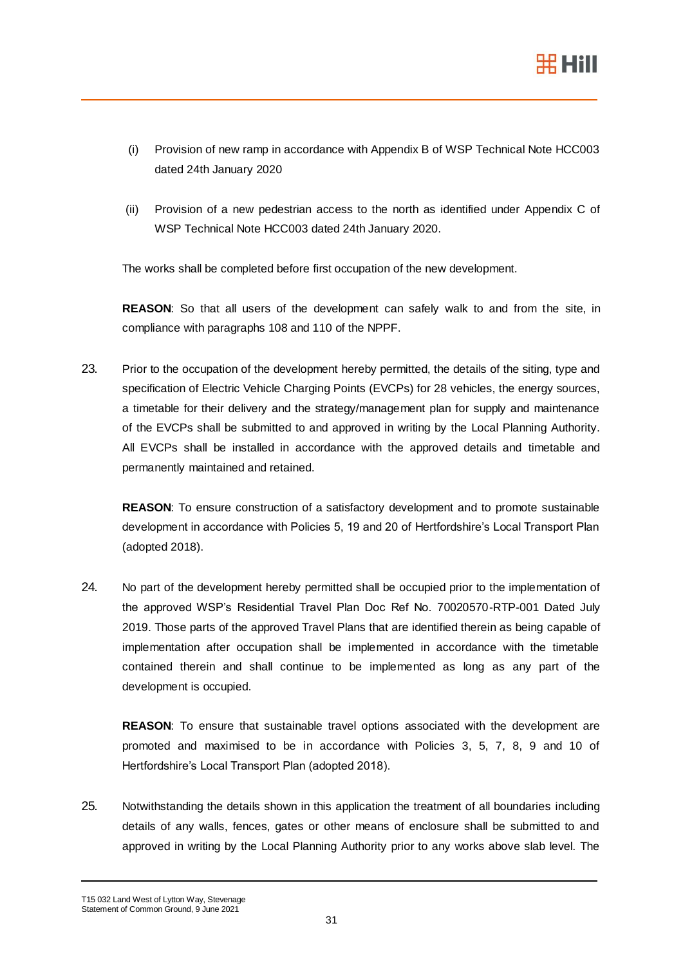

- (i) Provision of new ramp in accordance with Appendix B of WSP Technical Note HCC003 dated 24th January 2020
- (ii) Provision of a new pedestrian access to the north as identified under Appendix C of WSP Technical Note HCC003 dated 24th January 2020.

The works shall be completed before first occupation of the new development.

**REASON**: So that all users of the development can safely walk to and from the site, in compliance with paragraphs 108 and 110 of the NPPF.

23. Prior to the occupation of the development hereby permitted, the details of the siting, type and specification of Electric Vehicle Charging Points (EVCPs) for 28 vehicles, the energy sources, a timetable for their delivery and the strategy/management plan for supply and maintenance of the EVCPs shall be submitted to and approved in writing by the Local Planning Authority. All EVCPs shall be installed in accordance with the approved details and timetable and permanently maintained and retained.

**REASON**: To ensure construction of a satisfactory development and to promote sustainable development in accordance with Policies 5, 19 and 20 of Hertfordshire's Local Transport Plan (adopted 2018).

24. No part of the development hereby permitted shall be occupied prior to the implementation of the approved WSP's Residential Travel Plan Doc Ref No. 70020570-RTP-001 Dated July 2019. Those parts of the approved Travel Plans that are identified therein as being capable of implementation after occupation shall be implemented in accordance with the timetable contained therein and shall continue to be implemented as long as any part of the development is occupied.

**REASON**: To ensure that sustainable travel options associated with the development are promoted and maximised to be in accordance with Policies 3, 5, 7, 8, 9 and 10 of Hertfordshire's Local Transport Plan (adopted 2018).

25. Notwithstanding the details shown in this application the treatment of all boundaries including details of any walls, fences, gates or other means of enclosure shall be submitted to and approved in writing by the Local Planning Authority prior to any works above slab level. The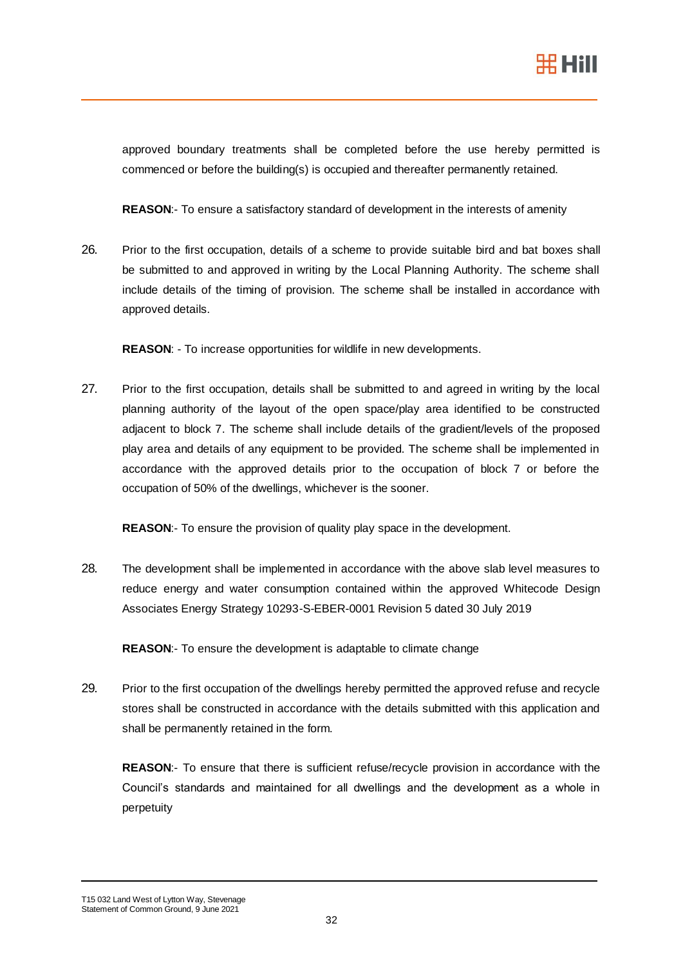

approved boundary treatments shall be completed before the use hereby permitted is commenced or before the building(s) is occupied and thereafter permanently retained.

**REASON**:- To ensure a satisfactory standard of development in the interests of amenity

26. Prior to the first occupation, details of a scheme to provide suitable bird and bat boxes shall be submitted to and approved in writing by the Local Planning Authority. The scheme shall include details of the timing of provision. The scheme shall be installed in accordance with approved details.

**REASON**: - To increase opportunities for wildlife in new developments.

27. Prior to the first occupation, details shall be submitted to and agreed in writing by the local planning authority of the layout of the open space/play area identified to be constructed adjacent to block 7. The scheme shall include details of the gradient/levels of the proposed play area and details of any equipment to be provided. The scheme shall be implemented in accordance with the approved details prior to the occupation of block 7 or before the occupation of 50% of the dwellings, whichever is the sooner.

**REASON**:- To ensure the provision of quality play space in the development.

28. The development shall be implemented in accordance with the above slab level measures to reduce energy and water consumption contained within the approved Whitecode Design Associates Energy Strategy 10293-S-EBER-0001 Revision 5 dated 30 July 2019

**REASON**:- To ensure the development is adaptable to climate change

29. Prior to the first occupation of the dwellings hereby permitted the approved refuse and recycle stores shall be constructed in accordance with the details submitted with this application and shall be permanently retained in the form.

**REASON**:- To ensure that there is sufficient refuse/recycle provision in accordance with the Council's standards and maintained for all dwellings and the development as a whole in perpetuity

T15 032 Land West of Lytton Way, Stevenage Statement of Common Ground, 9 June 2021